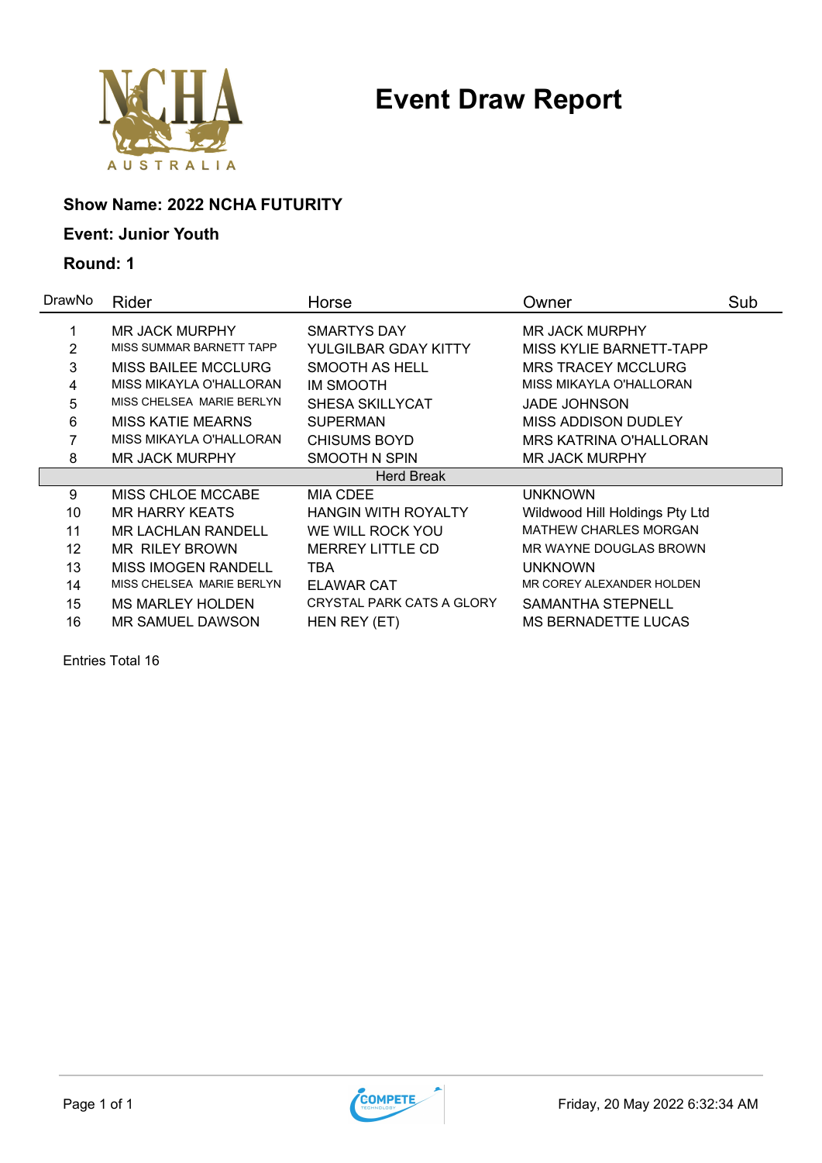

### **Show Name: 2022 NCHA FUTURITY**

### **Event: Junior Youth**

**Round: 1**

| DrawNo | Rider                      | Horse                      | Owner                          | Sub |
|--------|----------------------------|----------------------------|--------------------------------|-----|
|        | <b>MR JACK MURPHY</b>      | <b>SMARTYS DAY</b>         | <b>MR JACK MURPHY</b>          |     |
| 2      | MISS SUMMAR BARNETT TAPP   | YULGILBAR GDAY KITTY       | <b>MISS KYLIE BARNETT-TAPP</b> |     |
| 3      | <b>MISS BAILEE MCCLURG</b> | SMOOTH AS HELL             | <b>MRS TRACEY MCCLURG</b>      |     |
| 4      | MISS MIKAYLA O'HALLORAN    | <b>IM SMOOTH</b>           | MISS MIKAYLA O'HALLORAN        |     |
| 5      | MISS CHELSEA MARIE BERLYN  | <b>SHESA SKILLYCAT</b>     | <b>JADE JOHNSON</b>            |     |
| 6      | <b>MISS KATIE MEARNS</b>   | <b>SUPERMAN</b>            | MISS ADDISON DUDLEY            |     |
| 7      | MISS MIKAYLA O'HALLORAN    | <b>CHISUMS BOYD</b>        | MRS KATRINA O'HALLORAN         |     |
| 8      | <b>MR JACK MURPHY</b>      | SMOOTH N SPIN              | <b>MR JACK MURPHY</b>          |     |
|        |                            | <b>Herd Break</b>          |                                |     |
| 9      | <b>MISS CHLOE MCCABE</b>   | MIA CDEE                   | UNKNOWN                        |     |
| 10     | <b>MR HARRY KEATS</b>      | <b>HANGIN WITH ROYALTY</b> | Wildwood Hill Holdings Pty Ltd |     |
| 11     | <b>MR LACHLAN RANDELL</b>  | WE WILL ROCK YOU           | <b>MATHEW CHARLES MORGAN</b>   |     |
| 12     | <b>MR RILEY BROWN</b>      | <b>MERREY LITTLE CD</b>    | MR WAYNE DOUGLAS BROWN         |     |
| 13     | <b>MISS IMOGEN RANDELL</b> | TBA                        | UNKNOWN                        |     |
| 14     | MISS CHELSEA MARIE BERLYN  | <b>ELAWAR CAT</b>          | MR COREY ALEXANDER HOLDEN      |     |
| 15     | <b>MS MARLEY HOLDEN</b>    | CRYSTAL PARK CATS A GLORY  | SAMANTHA STEPNELL              |     |
| 16     | MR SAMUEL DAWSON           | HEN REY (ET)               | <b>MS BERNADETTE LUCAS</b>     |     |

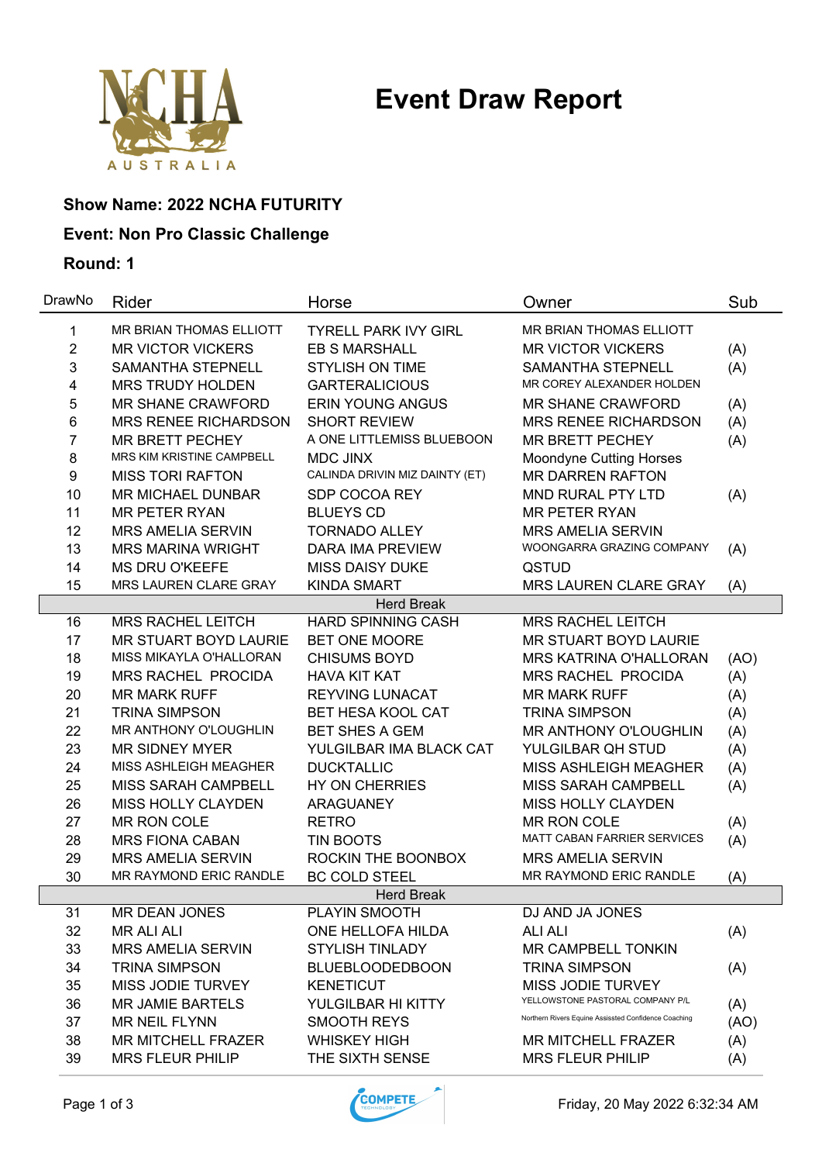

### **Show Name: 2022 NCHA FUTURITY**

### **Event: Non Pro Classic Challenge**

| DrawNo         | Rider                       | Horse                          | Owner                                                | Sub  |
|----------------|-----------------------------|--------------------------------|------------------------------------------------------|------|
| 1              | MR BRIAN THOMAS ELLIOTT     | <b>TYRELL PARK IVY GIRL</b>    | MR BRIAN THOMAS ELLIOTT                              |      |
| $\overline{2}$ | <b>MR VICTOR VICKERS</b>    | <b>EB S MARSHALL</b>           | <b>MR VICTOR VICKERS</b>                             | (A)  |
| 3              | <b>SAMANTHA STEPNELL</b>    | <b>STYLISH ON TIME</b>         | <b>SAMANTHA STEPNELL</b>                             | (A)  |
| 4              | <b>MRS TRUDY HOLDEN</b>     | <b>GARTERALICIOUS</b>          | MR COREY ALEXANDER HOLDEN                            |      |
| 5              | <b>MR SHANE CRAWFORD</b>    | <b>ERIN YOUNG ANGUS</b>        | <b>MR SHANE CRAWFORD</b>                             | (A)  |
| 6              | <b>MRS RENEE RICHARDSON</b> | <b>SHORT REVIEW</b>            | <b>MRS RENEE RICHARDSON</b>                          | (A)  |
| 7              | <b>MR BRETT PECHEY</b>      | A ONE LITTLEMISS BLUEBOON      | <b>MR BRETT PECHEY</b>                               | (A)  |
| 8              | MRS KIM KRISTINE CAMPBELL   | MDC JINX                       | <b>Moondyne Cutting Horses</b>                       |      |
| 9              | <b>MISS TORI RAFTON</b>     | CALINDA DRIVIN MIZ DAINTY (ET) | <b>MR DARREN RAFTON</b>                              |      |
| 10             | <b>MR MICHAEL DUNBAR</b>    | SDP COCOA REY                  | <b>MND RURAL PTY LTD</b>                             | (A)  |
| 11             | <b>MR PETER RYAN</b>        | <b>BLUEYS CD</b>               | <b>MR PETER RYAN</b>                                 |      |
| 12             | <b>MRS AMELIA SERVIN</b>    | <b>TORNADO ALLEY</b>           | <b>MRS AMELIA SERVIN</b>                             |      |
| 13             | <b>MRS MARINA WRIGHT</b>    | <b>DARA IMA PREVIEW</b>        | WOONGARRA GRAZING COMPANY                            | (A)  |
| 14             | <b>MS DRU O'KEEFE</b>       | <b>MISS DAISY DUKE</b>         | QSTUD                                                |      |
| 15             | MRS LAUREN CLARE GRAY       | <b>KINDA SMART</b>             | <b>MRS LAUREN CLARE GRAY</b>                         | (A)  |
|                |                             | <b>Herd Break</b>              |                                                      |      |
| 16             | <b>MRS RACHEL LEITCH</b>    | <b>HARD SPINNING CASH</b>      | <b>MRS RACHEL LEITCH</b>                             |      |
| 17             | MR STUART BOYD LAURIE       | BET ONE MOORE                  | MR STUART BOYD LAURIE                                |      |
| 18             | MISS MIKAYLA O'HALLORAN     | <b>CHISUMS BOYD</b>            | <b>MRS KATRINA O'HALLORAN</b>                        | (AO) |
| 19             | <b>MRS RACHEL PROCIDA</b>   | <b>HAVA KIT KAT</b>            | MRS RACHEL PROCIDA                                   | (A)  |
| 20             | <b>MR MARK RUFF</b>         | <b>REYVING LUNACAT</b>         | <b>MR MARK RUFF</b>                                  | (A)  |
| 21             | <b>TRINA SIMPSON</b>        | <b>BET HESA KOOL CAT</b>       | <b>TRINA SIMPSON</b>                                 | (A)  |
| 22             | MR ANTHONY O'LOUGHLIN       | <b>BET SHES A GEM</b>          | MR ANTHONY O'LOUGHLIN                                | (A)  |
| 23             | <b>MR SIDNEY MYER</b>       | YULGILBAR IMA BLACK CAT        | YULGILBAR QH STUD                                    | (A)  |
| 24             | MISS ASHLEIGH MEAGHER       | <b>DUCKTALLIC</b>              | MISS ASHLEIGH MEAGHER                                | (A)  |
| 25             | MISS SARAH CAMPBELL         | <b>HY ON CHERRIES</b>          | MISS SARAH CAMPBELL                                  | (A)  |
| 26             | <b>MISS HOLLY CLAYDEN</b>   | ARAGUANEY                      | MISS HOLLY CLAYDEN                                   |      |
| 27             | MR RON COLE                 | <b>RETRO</b>                   | <b>MR RON COLE</b>                                   | (A)  |
| 28             | <b>MRS FIONA CABAN</b>      | <b>TIN BOOTS</b>               | <b>MATT CABAN FARRIER SERVICES</b>                   | (A)  |
| 29             | <b>MRS AMELIA SERVIN</b>    | ROCKIN THE BOONBOX             | <b>MRS AMELIA SERVIN</b>                             |      |
| 30             | MR RAYMOND ERIC RANDLE      | <b>BC COLD STEEL</b>           | MR RAYMOND ERIC RANDLE                               | (A)  |
|                |                             | <b>Herd Break</b>              |                                                      |      |
| 31             | MR DEAN JONES               | PLAYIN SMOOTH                  | DJ AND JA JONES                                      |      |
| 32             | <b>MR ALI ALI</b>           | ONE HELLOFA HILDA              | <b>ALI ALI</b>                                       | (A)  |
| 33             | <b>MRS AMELIA SERVIN</b>    | <b>STYLISH TINLADY</b>         | <b>MR CAMPBELL TONKIN</b>                            |      |
| 34             | <b>TRINA SIMPSON</b>        | <b>BLUEBLOODEDBOON</b>         | <b>TRINA SIMPSON</b>                                 | (A)  |
| 35             | MISS JODIE TURVEY           | <b>KENETICUT</b>               | MISS JODIE TURVEY                                    |      |
| 36             | <b>MR JAMIE BARTELS</b>     | YULGILBAR HI KITTY             | YELLOWSTONE PASTORAL COMPANY P/L                     | (A)  |
| 37             | MR NEIL FLYNN               | <b>SMOOTH REYS</b>             | Northern Rivers Equine Assissted Confidence Coaching | (AO) |
| 38             | <b>MR MITCHELL FRAZER</b>   | <b>WHISKEY HIGH</b>            | <b>MR MITCHELL FRAZER</b>                            | (A)  |
| 39             | <b>MRS FLEUR PHILIP</b>     | THE SIXTH SENSE                | <b>MRS FLEUR PHILIP</b>                              | (A)  |

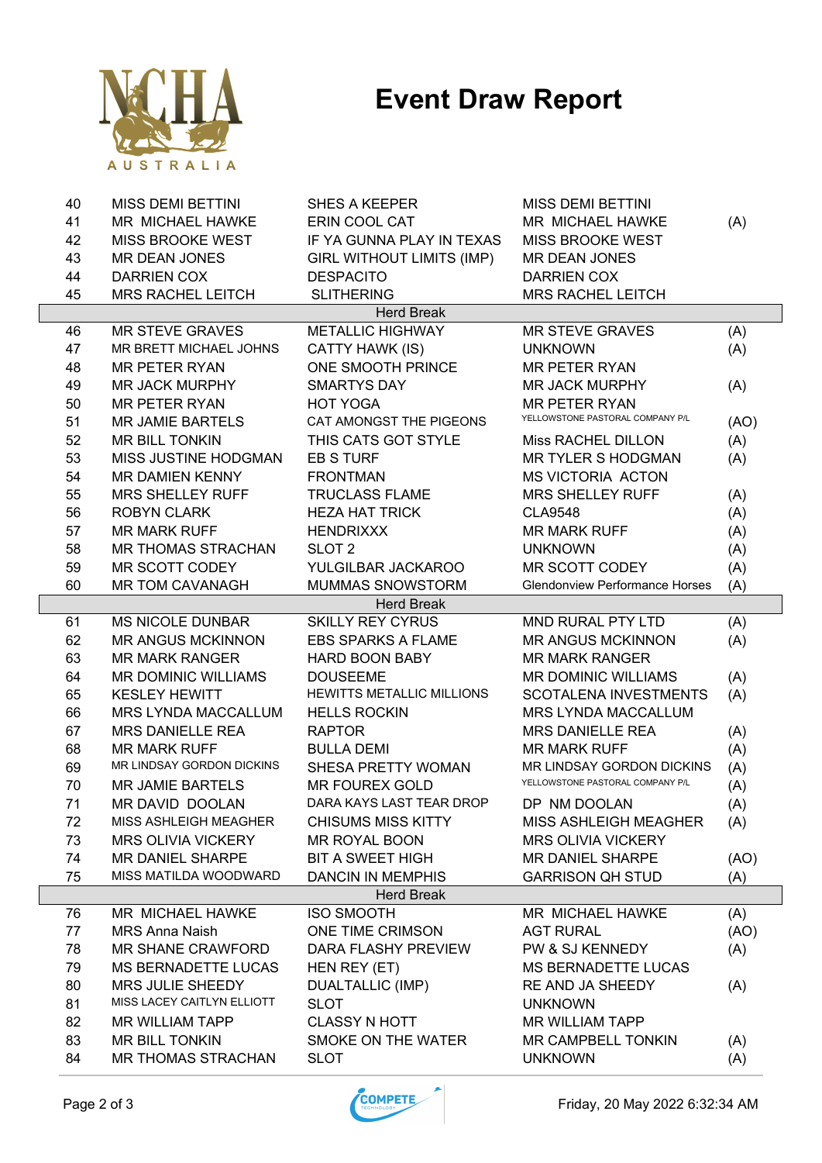

| 40 | <b>MISS DEMI BETTINI</b>   | <b>SHES A KEEPER</b>             | <b>MISS DEMI BETTINI</b>              |      |
|----|----------------------------|----------------------------------|---------------------------------------|------|
| 41 | MR MICHAEL HAWKE           | ERIN COOL CAT                    | MR MICHAEL HAWKE                      | (A)  |
| 42 | <b>MISS BROOKE WEST</b>    | IF YA GUNNA PLAY IN TEXAS        | <b>MISS BROOKE WEST</b>               |      |
| 43 | <b>MR DEAN JONES</b>       | <b>GIRL WITHOUT LIMITS (IMP)</b> | <b>MR DEAN JONES</b>                  |      |
| 44 | <b>DARRIEN COX</b>         | <b>DESPACITO</b>                 | <b>DARRIEN COX</b>                    |      |
| 45 | <b>MRS RACHEL LEITCH</b>   | <b>SLITHERING</b>                | <b>MRS RACHEL LEITCH</b>              |      |
|    |                            | <b>Herd Break</b>                |                                       |      |
| 46 | <b>MR STEVE GRAVES</b>     | <b>METALLIC HIGHWAY</b>          | <b>MR STEVE GRAVES</b>                | (A)  |
| 47 | MR BRETT MICHAEL JOHNS     | CATTY HAWK (IS)                  | <b>UNKNOWN</b>                        | (A)  |
| 48 | <b>MR PETER RYAN</b>       | ONE SMOOTH PRINCE                | <b>MR PETER RYAN</b>                  |      |
| 49 | <b>MR JACK MURPHY</b>      | <b>SMARTYS DAY</b>               | <b>MR JACK MURPHY</b>                 | (A)  |
| 50 | <b>MR PETER RYAN</b>       | <b>HOT YOGA</b>                  | <b>MR PETER RYAN</b>                  |      |
| 51 | <b>MR JAMIE BARTELS</b>    | CAT AMONGST THE PIGEONS          | YELLOWSTONE PASTORAL COMPANY P/L      | (AO) |
| 52 | MR BILL TONKIN             | THIS CATS GOT STYLE              | Miss RACHEL DILLON                    | (A)  |
| 53 | MISS JUSTINE HODGMAN       | <b>EB S TURF</b>                 | <b>MR TYLER S HODGMAN</b>             | (A)  |
| 54 | MR DAMIEN KENNY            | <b>FRONTMAN</b>                  | <b>MS VICTORIA ACTON</b>              |      |
| 55 | <b>MRS SHELLEY RUFF</b>    | <b>TRUCLASS FLAME</b>            | <b>MRS SHELLEY RUFF</b>               | (A)  |
| 56 | <b>ROBYN CLARK</b>         | <b>HEZA HAT TRICK</b>            | <b>CLA9548</b>                        | (A)  |
| 57 | <b>MR MARK RUFF</b>        | <b>HENDRIXXX</b>                 | <b>MR MARK RUFF</b>                   | (A)  |
| 58 | <b>MR THOMAS STRACHAN</b>  | SLOT <sub>2</sub>                | <b>UNKNOWN</b>                        | (A)  |
| 59 | MR SCOTT CODEY             | YULGILBAR JACKAROO               | <b>MR SCOTT CODEY</b>                 | (A)  |
| 60 | <b>MR TOM CAVANAGH</b>     | MUMMAS SNOWSTORM                 | <b>Glendonview Performance Horses</b> | (A)  |
|    |                            | <b>Herd Break</b>                |                                       |      |
| 61 | <b>MS NICOLE DUNBAR</b>    | <b>SKILLY REY CYRUS</b>          | MND RURAL PTY LTD                     | (A)  |
| 62 | <b>MR ANGUS MCKINNON</b>   | <b>EBS SPARKS A FLAME</b>        | <b>MR ANGUS MCKINNON</b>              | (A)  |
| 63 | <b>MR MARK RANGER</b>      | <b>HARD BOON BABY</b>            | <b>MR MARK RANGER</b>                 |      |
| 64 | <b>MR DOMINIC WILLIAMS</b> | <b>DOUSEEME</b>                  | MR DOMINIC WILLIAMS                   | (A)  |
| 65 | <b>KESLEY HEWITT</b>       | <b>HEWITTS METALLIC MILLIONS</b> | <b>SCOTALENA INVESTMENTS</b>          | (A)  |
| 66 | <b>MRS LYNDA MACCALLUM</b> | <b>HELLS ROCKIN</b>              | MRS LYNDA MACCALLUM                   |      |
| 67 | <b>MRS DANIELLE REA</b>    | <b>RAPTOR</b>                    | <b>MRS DANIELLE REA</b>               | (A)  |
| 68 | <b>MR MARK RUFF</b>        | <b>BULLA DEMI</b>                | <b>MR MARK RUFF</b>                   | (A)  |
| 69 | MR LINDSAY GORDON DICKINS  | SHESA PRETTY WOMAN               | MR LINDSAY GORDON DICKINS             | (A)  |
| 70 | <b>MR JAMIE BARTELS</b>    | <b>MR FOUREX GOLD</b>            | YELLOWSTONE PASTORAL COMPANY P/L      | (A)  |
| 71 | MR DAVID DOOLAN            | DARA KAYS LAST TEAR DROP         | DP NM DOOLAN                          | (A)  |
| 72 | MISS ASHLEIGH MEAGHER      | <b>CHISUMS MISS KITTY</b>        | MISS ASHLEIGH MEAGHER                 | (A)  |
| 73 | <b>MRS OLIVIA VICKERY</b>  | MR ROYAL BOON                    | <b>MRS OLIVIA VICKERY</b>             |      |
| 74 | MR DANIEL SHARPE           | <b>BIT A SWEET HIGH</b>          | MR DANIEL SHARPE                      | (AO) |
| 75 | MISS MATILDA WOODWARD      | <b>DANCIN IN MEMPHIS</b>         | <b>GARRISON QH STUD</b>               | (A)  |
|    |                            | <b>Herd Break</b>                |                                       |      |
| 76 | MR MICHAEL HAWKE           | <b>ISO SMOOTH</b>                | MR MICHAEL HAWKE                      | (A)  |
| 77 | <b>MRS Anna Naish</b>      | ONE TIME CRIMSON                 | <b>AGT RURAL</b>                      | (AO) |
| 78 | MR SHANE CRAWFORD          | DARA FLASHY PREVIEW              | PW & SJ KENNEDY                       | (A)  |
| 79 | MS BERNADETTE LUCAS        | HEN REY (ET)                     | <b>MS BERNADETTE LUCAS</b>            |      |
| 80 | <b>MRS JULIE SHEEDY</b>    | <b>DUALTALLIC (IMP)</b>          | RE AND JA SHEEDY                      | (A)  |
| 81 | MISS LACEY CAITLYN ELLIOTT | <b>SLOT</b>                      | <b>UNKNOWN</b>                        |      |
| 82 | MR WILLIAM TAPP            | <b>CLASSY N HOTT</b>             | <b>MR WILLIAM TAPP</b>                |      |
| 83 | <b>MR BILL TONKIN</b>      | SMOKE ON THE WATER               | <b>MR CAMPBELL TONKIN</b>             | (A)  |
| 84 | <b>MR THOMAS STRACHAN</b>  | <b>SLOT</b>                      | <b>UNKNOWN</b>                        | (A)  |

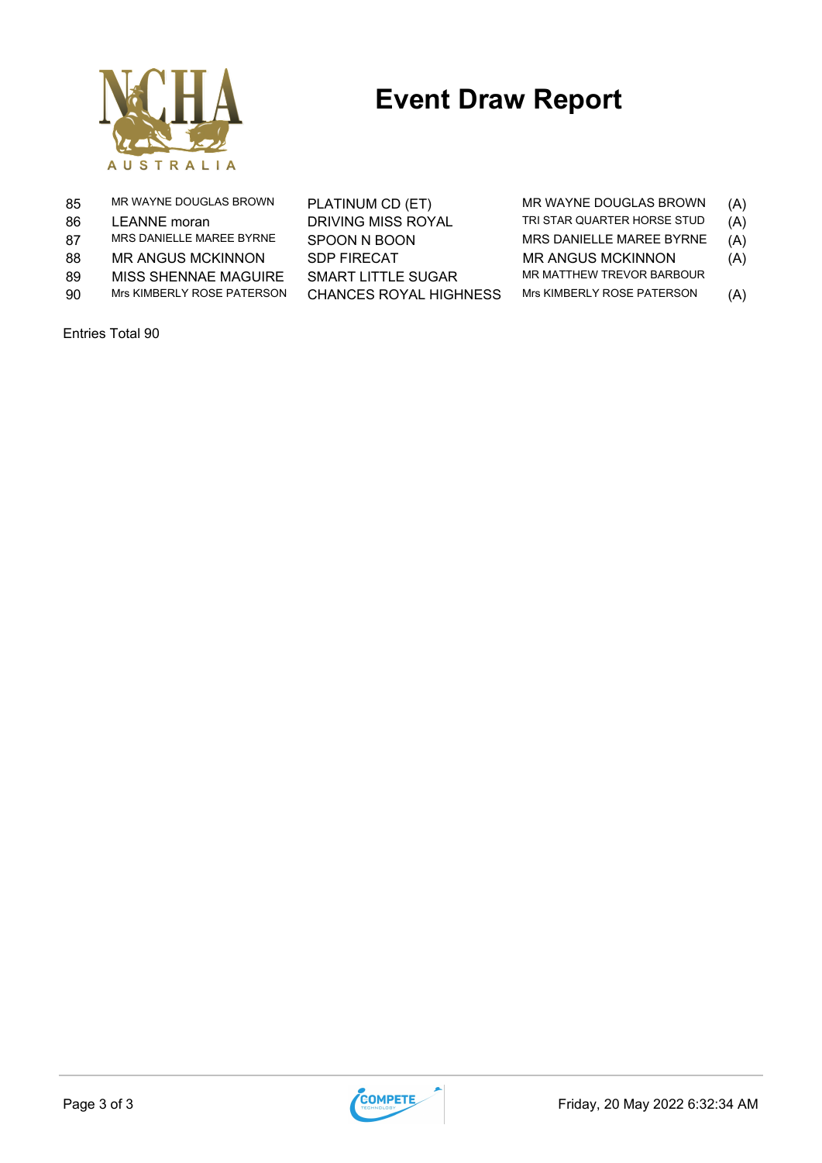

| 85  | MR WAYNE DOUGLAS BROWN     | PLATINUM CD (ET)              | MR WAYNE DOUGLAS BROWN      | (A) |
|-----|----------------------------|-------------------------------|-----------------------------|-----|
| 86  | LEANNE moran               | DRIVING MISS ROYAL            | TRI STAR QUARTER HORSE STUD | (A) |
| 87  | MRS DANIELLE MAREE BYRNE   | SPOON N BOON                  | MRS DANIELLE MAREE BYRNE    | (A) |
| 88  | <b>MR ANGUS MCKINNON</b>   | <b>SDP FIRECAT</b>            | <b>MR ANGUS MCKINNON</b>    | (A) |
| 89  | MISS SHENNAE MAGUIRE       | SMART LITTLE SUGAR            | MR MATTHEW TREVOR BARBOUR   |     |
| 90. | Mrs KIMBERLY ROSE PATERSON | <b>CHANCES ROYAL HIGHNESS</b> | Mrs KIMBERLY ROSE PATERSON  | (A) |
|     |                            |                               |                             |     |

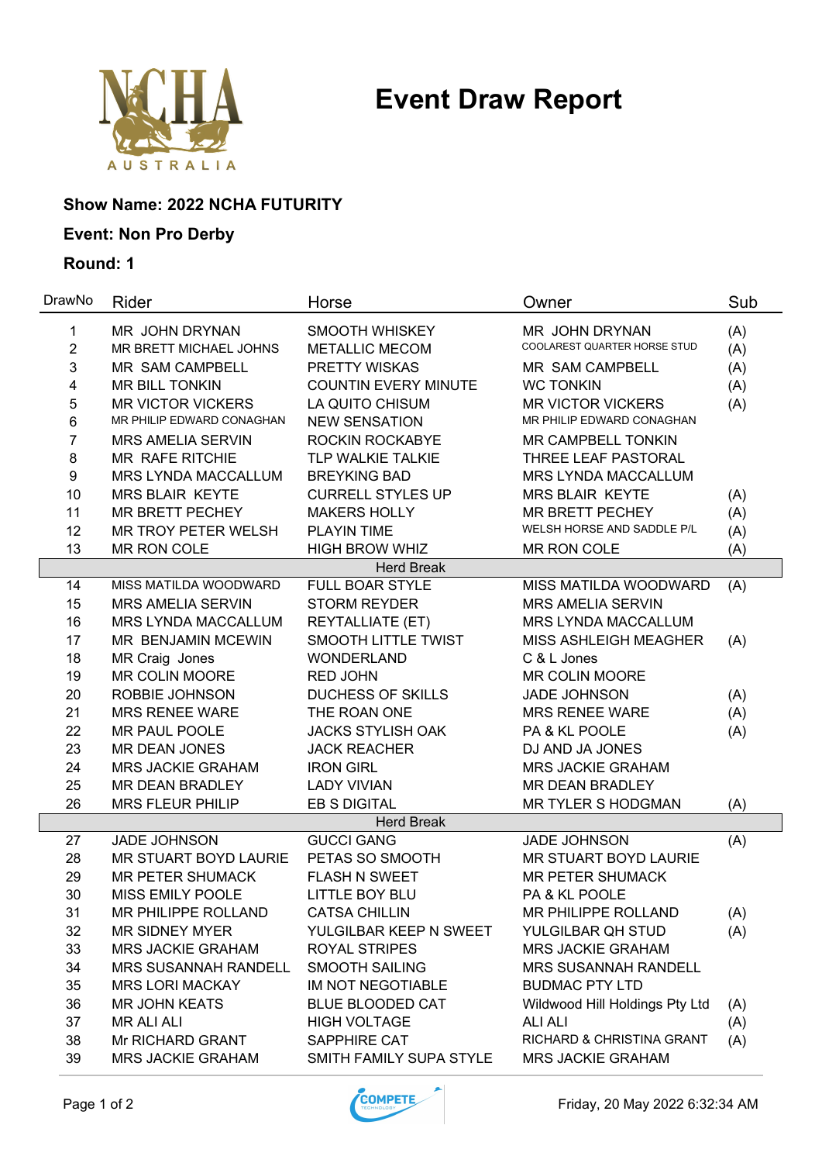

### **Show Name: 2022 NCHA FUTURITY**

### **Event: Non Pro Derby**

| DrawNo           | <b>Rider</b>                | Horse                       | Owner                          | Sub |
|------------------|-----------------------------|-----------------------------|--------------------------------|-----|
| 1                | MR JOHN DRYNAN              | SMOOTH WHISKEY              | MR JOHN DRYNAN                 | (A) |
| $\overline{2}$   | MR BRETT MICHAEL JOHNS      | <b>METALLIC MECOM</b>       | COOLAREST QUARTER HORSE STUD   | (A) |
| 3                | <b>MR SAM CAMPBELL</b>      | PRETTY WISKAS               | <b>MR SAM CAMPBELL</b>         | (A) |
| 4                | <b>MR BILL TONKIN</b>       | <b>COUNTIN EVERY MINUTE</b> | <b>WC TONKIN</b>               | (A) |
| 5                | <b>MR VICTOR VICKERS</b>    | LA QUITO CHISUM             | <b>MR VICTOR VICKERS</b>       | (A) |
| 6                | MR PHILIP EDWARD CONAGHAN   | <b>NEW SENSATION</b>        | MR PHILIP EDWARD CONAGHAN      |     |
| 7                | <b>MRS AMELIA SERVIN</b>    | ROCKIN ROCKABYE             | <b>MR CAMPBELL TONKIN</b>      |     |
| 8                | MR RAFE RITCHIE             | TLP WALKIE TALKIE           | THREE LEAF PASTORAL            |     |
| $\boldsymbol{9}$ | MRS LYNDA MACCALLUM         | <b>BREYKING BAD</b>         | MRS LYNDA MACCALLUM            |     |
| 10               | <b>MRS BLAIR KEYTE</b>      | <b>CURRELL STYLES UP</b>    | <b>MRS BLAIR KEYTE</b>         | (A) |
| 11               | <b>MR BRETT PECHEY</b>      | <b>MAKERS HOLLY</b>         | <b>MR BRETT PECHEY</b>         | (A) |
| 12               | MR TROY PETER WELSH         | <b>PLAYIN TIME</b>          | WELSH HORSE AND SADDLE P/L     | (A) |
| 13               | <b>MR RON COLE</b>          | <b>HIGH BROW WHIZ</b>       | MR RON COLE                    | (A) |
|                  |                             | <b>Herd Break</b>           |                                |     |
| 14               | MISS MATILDA WOODWARD       | <b>FULL BOAR STYLE</b>      | MISS MATILDA WOODWARD          | (A) |
| 15               | <b>MRS AMELIA SERVIN</b>    | <b>STORM REYDER</b>         | <b>MRS AMELIA SERVIN</b>       |     |
| 16               | MRS LYNDA MACCALLUM         | <b>REYTALLIATE (ET)</b>     | <b>MRS LYNDA MACCALLUM</b>     |     |
| 17               | MR BENJAMIN MCEWIN          | <b>SMOOTH LITTLE TWIST</b>  | MISS ASHLEIGH MEAGHER          | (A) |
| 18               | MR Craig Jones              | <b>WONDERLAND</b>           | C & L Jones                    |     |
| 19               | <b>MR COLIN MOORE</b>       | <b>RED JOHN</b>             | <b>MR COLIN MOORE</b>          |     |
| 20               | ROBBIE JOHNSON              | <b>DUCHESS OF SKILLS</b>    | <b>JADE JOHNSON</b>            | (A) |
| 21               | <b>MRS RENEE WARE</b>       | THE ROAN ONE                | <b>MRS RENEE WARE</b>          | (A) |
| 22               | MR PAUL POOLE               | <b>JACKS STYLISH OAK</b>    | PA & KL POOLE                  | (A) |
| 23               | <b>MR DEAN JONES</b>        | <b>JACK REACHER</b>         | DJ AND JA JONES                |     |
| 24               | <b>MRS JACKIE GRAHAM</b>    | <b>IRON GIRL</b>            | <b>MRS JACKIE GRAHAM</b>       |     |
| 25               | <b>MR DEAN BRADLEY</b>      | <b>LADY VIVIAN</b>          | <b>MR DEAN BRADLEY</b>         |     |
| 26               | <b>MRS FLEUR PHILIP</b>     | <b>EB S DIGITAL</b>         | <b>MR TYLER S HODGMAN</b>      | (A) |
|                  |                             | <b>Herd Break</b>           |                                |     |
| 27               | <b>JADE JOHNSON</b>         | <b>GUCCI GANG</b>           | <b>JADE JOHNSON</b>            | (A) |
| 28               | MR STUART BOYD LAURIE       | PETAS SO SMOOTH             | MR STUART BOYD LAURIE          |     |
| 29               | <b>MR PETER SHUMACK</b>     | <b>FLASH N SWEET</b>        | <b>MR PETER SHUMACK</b>        |     |
| 30               | <b>MISS EMILY POOLE</b>     | <b>LITTLE BOY BLU</b>       | PA & KL POOLE                  |     |
| 31               | MR PHILIPPE ROLLAND         | <b>CATSA CHILLIN</b>        | MR PHILIPPE ROLLAND            | (A) |
| 32               | <b>MR SIDNEY MYER</b>       | YULGILBAR KEEP N SWEET      | YULGILBAR QH STUD              | (A) |
| 33               | <b>MRS JACKIE GRAHAM</b>    | <b>ROYAL STRIPES</b>        | <b>MRS JACKIE GRAHAM</b>       |     |
| 34               | <b>MRS SUSANNAH RANDELL</b> | <b>SMOOTH SAILING</b>       | <b>MRS SUSANNAH RANDELL</b>    |     |
| 35               | <b>MRS LORI MACKAY</b>      | IM NOT NEGOTIABLE           | <b>BUDMAC PTY LTD</b>          |     |
| 36               | <b>MR JOHN KEATS</b>        | <b>BLUE BLOODED CAT</b>     | Wildwood Hill Holdings Pty Ltd | (A) |
| 37               | <b>MR ALI ALI</b>           | <b>HIGH VOLTAGE</b>         | <b>ALI ALI</b>                 | (A) |
| 38               | Mr RICHARD GRANT            | SAPPHIRE CAT                | RICHARD & CHRISTINA GRANT      | (A) |
| 39               | <b>MRS JACKIE GRAHAM</b>    | SMITH FAMILY SUPA STYLE     | <b>MRS JACKIE GRAHAM</b>       |     |

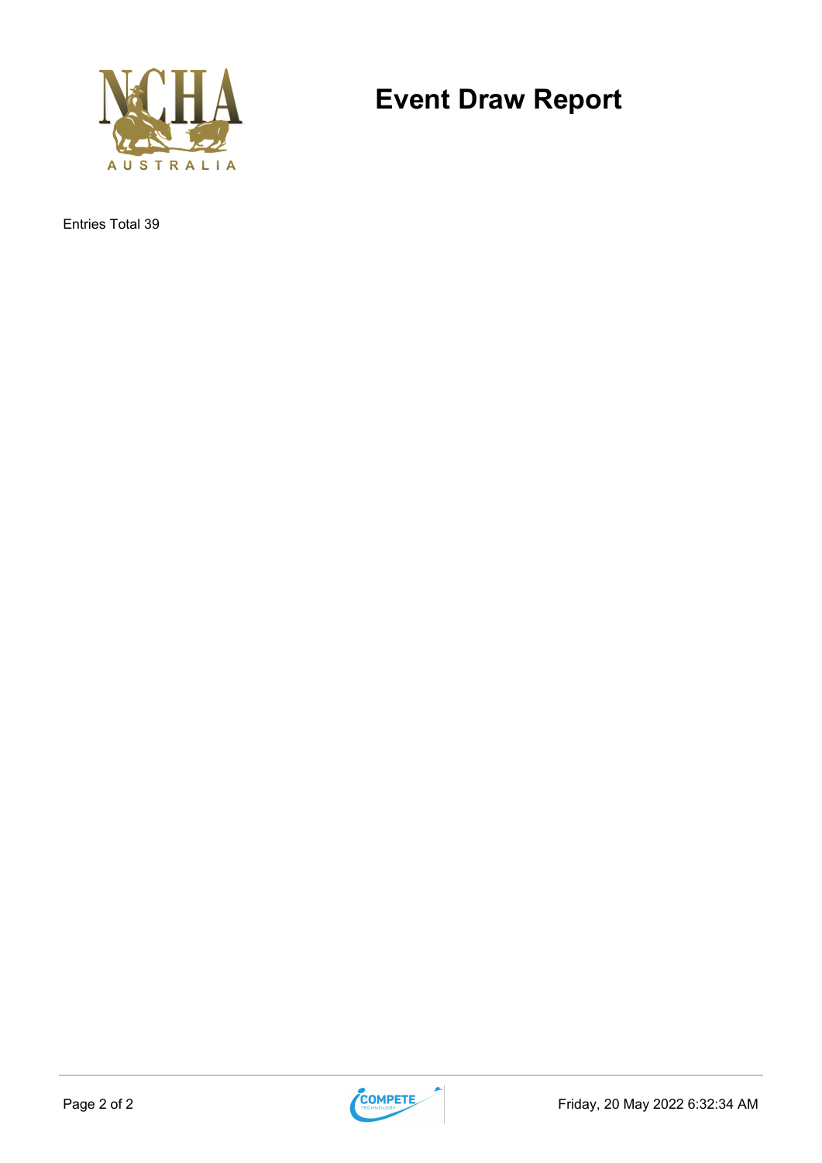

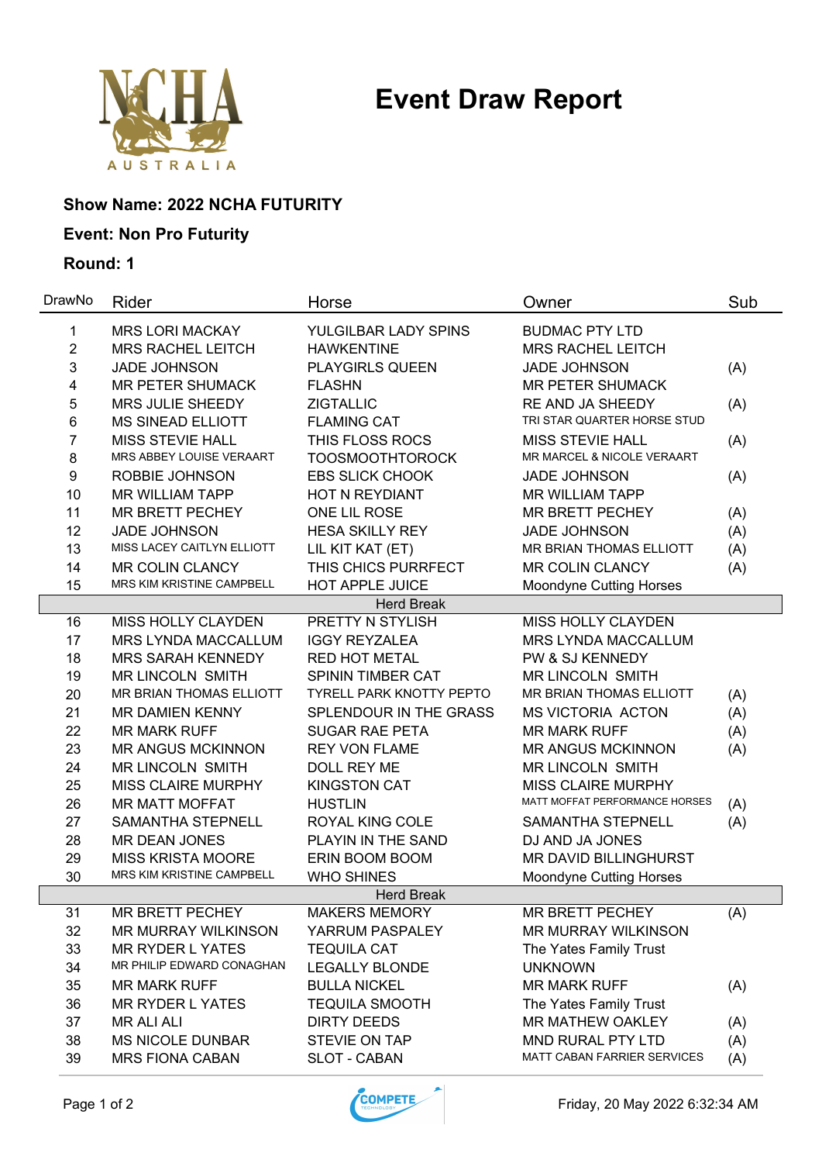

### **Show Name: 2022 NCHA FUTURITY**

### **Event: Non Pro Futurity**

| DrawNo         | Rider                      | Horse                    | Owner                          | Sub |
|----------------|----------------------------|--------------------------|--------------------------------|-----|
| 1              | <b>MRS LORI MACKAY</b>     | YULGILBAR LADY SPINS     | <b>BUDMAC PTY LTD</b>          |     |
| $\overline{2}$ | <b>MRS RACHEL LEITCH</b>   | <b>HAWKENTINE</b>        | <b>MRS RACHEL LEITCH</b>       |     |
| 3              | <b>JADE JOHNSON</b>        | <b>PLAYGIRLS QUEEN</b>   | <b>JADE JOHNSON</b>            | (A) |
| 4              | <b>MR PETER SHUMACK</b>    | <b>FLASHN</b>            | <b>MR PETER SHUMACK</b>        |     |
| 5              | MRS JULIE SHEEDY           | <b>ZIGTALLIC</b>         | RE AND JA SHEEDY               | (A) |
| 6              | <b>MS SINEAD ELLIOTT</b>   | <b>FLAMING CAT</b>       | TRI STAR QUARTER HORSE STUD    |     |
| 7              | <b>MISS STEVIE HALL</b>    | THIS FLOSS ROCS          | <b>MISS STEVIE HALL</b>        | (A) |
| 8              | MRS ABBEY LOUISE VERAART   | <b>TOOSMOOTHTOROCK</b>   | MR MARCEL & NICOLE VERAART     |     |
| 9              | ROBBIE JOHNSON             | <b>EBS SLICK CHOOK</b>   | <b>JADE JOHNSON</b>            | (A) |
| 10             | <b>MR WILLIAM TAPP</b>     | HOT N REYDIANT           | <b>MR WILLIAM TAPP</b>         |     |
| 11             | MR BRETT PECHEY            | ONE LIL ROSE             | <b>MR BRETT PECHEY</b>         | (A) |
| 12             | <b>JADE JOHNSON</b>        | <b>HESA SKILLY REY</b>   | <b>JADE JOHNSON</b>            | (A) |
| 13             | MISS LACEY CAITLYN ELLIOTT | LIL KIT KAT (ET)         | MR BRIAN THOMAS ELLIOTT        | (A) |
| 14             | <b>MR COLIN CLANCY</b>     | THIS CHICS PURRFECT      | <b>MR COLIN CLANCY</b>         | (A) |
| 15             | MRS KIM KRISTINE CAMPBELL  | <b>HOT APPLE JUICE</b>   | <b>Moondyne Cutting Horses</b> |     |
|                |                            | <b>Herd Break</b>        |                                |     |
| 16             | MISS HOLLY CLAYDEN         | PRETTY N STYLISH         | MISS HOLLY CLAYDEN             |     |
| 17             | <b>MRS LYNDA MACCALLUM</b> | <b>IGGY REYZALEA</b>     | MRS LYNDA MACCALLUM            |     |
| 18             | <b>MRS SARAH KENNEDY</b>   | <b>RED HOT METAL</b>     | PW & SJ KENNEDY                |     |
| 19             | <b>MR LINCOLN SMITH</b>    | <b>SPININ TIMBER CAT</b> | <b>MR LINCOLN SMITH</b>        |     |
| 20             | MR BRIAN THOMAS ELLIOTT    | TYRELL PARK KNOTTY PEPTO | MR BRIAN THOMAS ELLIOTT        | (A) |
| 21             | MR DAMIEN KENNY            | SPLENDOUR IN THE GRASS   | <b>MS VICTORIA ACTON</b>       | (A) |
| 22             | <b>MR MARK RUFF</b>        | <b>SUGAR RAE PETA</b>    | <b>MR MARK RUFF</b>            | (A) |
| 23             | <b>MR ANGUS MCKINNON</b>   | <b>REY VON FLAME</b>     | <b>MR ANGUS MCKINNON</b>       | (A) |
| 24             | <b>MR LINCOLN SMITH</b>    | DOLL REY ME              | <b>MR LINCOLN SMITH</b>        |     |
| 25             | <b>MISS CLAIRE MURPHY</b>  | <b>KINGSTON CAT</b>      | <b>MISS CLAIRE MURPHY</b>      |     |
| 26             | <b>MR MATT MOFFAT</b>      | <b>HUSTLIN</b>           | MATT MOFFAT PERFORMANCE HORSES | (A) |
| 27             | <b>SAMANTHA STEPNELL</b>   | ROYAL KING COLE          | SAMANTHA STEPNELL              | (A) |
| 28             | <b>MR DEAN JONES</b>       | PLAYIN IN THE SAND       | DJ AND JA JONES                |     |
| 29             | <b>MISS KRISTA MOORE</b>   | ERIN BOOM BOOM           | MR DAVID BILLINGHURST          |     |
| 30             | MRS KIM KRISTINE CAMPBELL  | <b>WHO SHINES</b>        | <b>Moondyne Cutting Horses</b> |     |
|                |                            | <b>Herd Break</b>        |                                |     |
| 31             | MR BRETT PECHEY            | <b>MAKERS MEMORY</b>     | <b>MR BRETT PECHEY</b>         | (A) |
| 32             | <b>MR MURRAY WILKINSON</b> | YARRUM PASPALEY          | <b>MR MURRAY WILKINSON</b>     |     |
| 33             | <b>MR RYDER L YATES</b>    | <b>TEQUILA CAT</b>       | The Yates Family Trust         |     |
| 34             | MR PHILIP EDWARD CONAGHAN  | <b>LEGALLY BLONDE</b>    | <b>UNKNOWN</b>                 |     |
| 35             | <b>MR MARK RUFF</b>        | <b>BULLA NICKEL</b>      | <b>MR MARK RUFF</b>            | (A) |
| 36             | MR RYDER L YATES           | <b>TEQUILA SMOOTH</b>    | The Yates Family Trust         |     |
| 37             | <b>MR ALI ALI</b>          | <b>DIRTY DEEDS</b>       | <b>MR MATHEW OAKLEY</b>        | (A) |
| 38             | <b>MS NICOLE DUNBAR</b>    | STEVIE ON TAP            | MND RURAL PTY LTD              | (A) |
| 39             | <b>MRS FIONA CABAN</b>     | SLOT - CABAN             | MATT CABAN FARRIER SERVICES    | (A) |

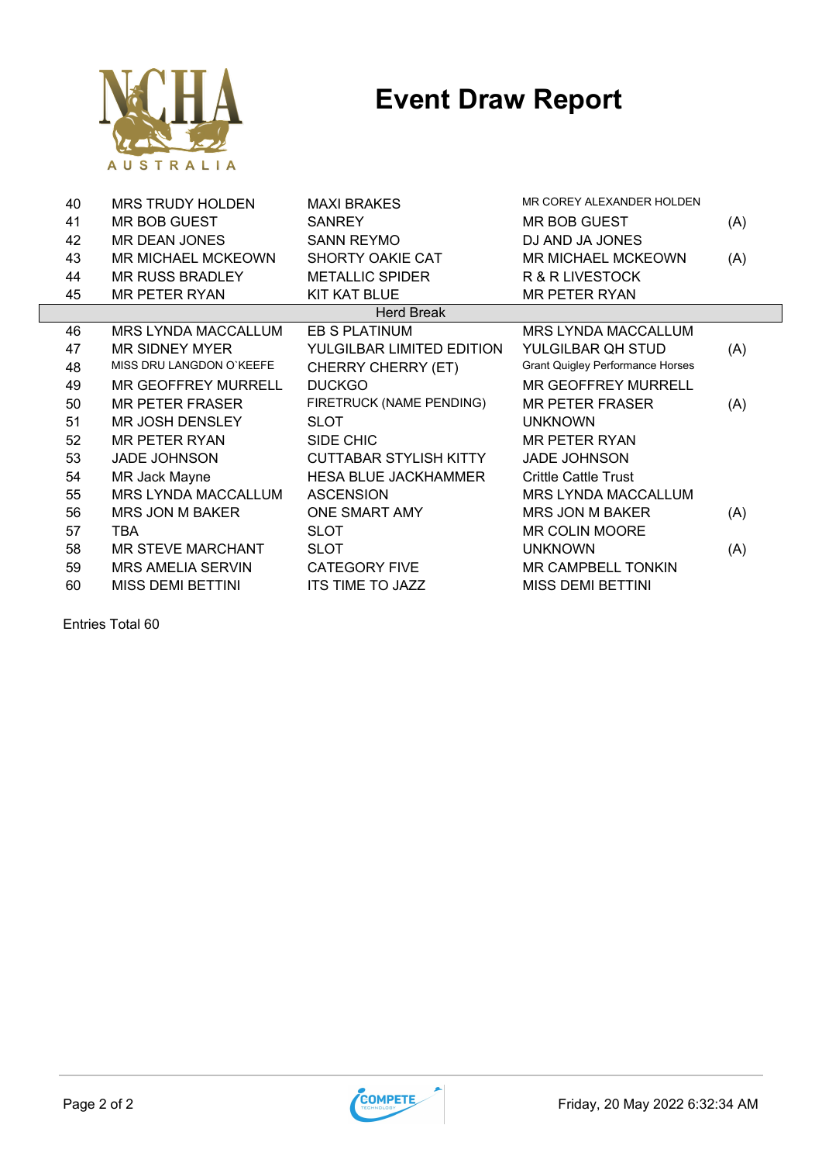

| 41<br><b>MR BOB GUEST</b><br><b>SANREY</b><br><b>MR BOB GUEST</b><br>(A)<br>42<br>MR DEAN JONES<br><b>SANN REYMO</b><br>DJ AND JA JONES<br>43<br><b>MR MICHAEL MCKEOWN</b><br>SHORTY OAKIE CAT<br><b>MR MICHAEL MCKEOWN</b><br>(A)<br>44<br><b>MR RUSS BRADLEY</b><br><b>METALLIC SPIDER</b><br>R & R LIVESTOCK |  |
|-----------------------------------------------------------------------------------------------------------------------------------------------------------------------------------------------------------------------------------------------------------------------------------------------------------------|--|
|                                                                                                                                                                                                                                                                                                                 |  |
|                                                                                                                                                                                                                                                                                                                 |  |
|                                                                                                                                                                                                                                                                                                                 |  |
|                                                                                                                                                                                                                                                                                                                 |  |
| 45<br>MR PETER RYAN<br><b>KIT KAT BLUE</b><br><b>MR PETER RYAN</b>                                                                                                                                                                                                                                              |  |
| <b>Herd Break</b>                                                                                                                                                                                                                                                                                               |  |
| 46<br>MRS LYNDA MACCALLUM<br>EB S PLATINUM<br>MRS LYNDA MACCALLUM                                                                                                                                                                                                                                               |  |
| 47<br><b>MR SIDNEY MYER</b><br>YULGILBAR LIMITED EDITION<br>YULGILBAR QH STUD<br>(A)                                                                                                                                                                                                                            |  |
| MISS DRU LANGDON O'KEEFE<br><b>Grant Quigley Performance Horses</b><br>48<br>CHERRY CHERRY (ET)                                                                                                                                                                                                                 |  |
| 49<br><b>MR GEOFFREY MURRELL</b><br><b>DUCKGO</b><br>MR GEOFFREY MURRELL                                                                                                                                                                                                                                        |  |
| FIRETRUCK (NAME PENDING)<br>50<br><b>MR PETER FRASER</b><br><b>MR PETER FRASER</b><br>(A)                                                                                                                                                                                                                       |  |
| <b>SLOT</b><br>51<br><b>MR JOSH DENSLEY</b><br><b>UNKNOWN</b>                                                                                                                                                                                                                                                   |  |
| 52<br><b>MR PETER RYAN</b><br>SIDE CHIC<br><b>MR PETER RYAN</b>                                                                                                                                                                                                                                                 |  |
| 53<br><b>JADE JOHNSON</b><br><b>CUTTABAR STYLISH KITTY</b><br><b>JADE JOHNSON</b>                                                                                                                                                                                                                               |  |
| 54<br>MR Jack Mayne<br><b>HESA BLUE JACKHAMMER</b><br><b>Crittle Cattle Trust</b>                                                                                                                                                                                                                               |  |
| MRS LYNDA MACCALLUM<br>55<br><b>ASCENSION</b><br><b>MRS LYNDA MACCALLUM</b>                                                                                                                                                                                                                                     |  |
| 56<br>ONE SMART AMY<br><b>MRS JON M BAKER</b><br>MRS JON M BAKER<br>(A)                                                                                                                                                                                                                                         |  |
| 57<br><b>TBA</b><br><b>SLOT</b><br><b>MR COLIN MOORE</b>                                                                                                                                                                                                                                                        |  |
| 58<br>MR STEVE MARCHANT<br><b>SLOT</b><br><b>UNKNOWN</b><br>(A)                                                                                                                                                                                                                                                 |  |
| 59<br><b>MRS AMELIA SERVIN</b><br><b>CATEGORY FIVE</b><br><b>MR CAMPBELL TONKIN</b>                                                                                                                                                                                                                             |  |
| 60<br><b>MISS DEMI BETTINI</b><br><b>ITS TIME TO JAZZ</b><br><b>MISS DEMI BETTINI</b>                                                                                                                                                                                                                           |  |

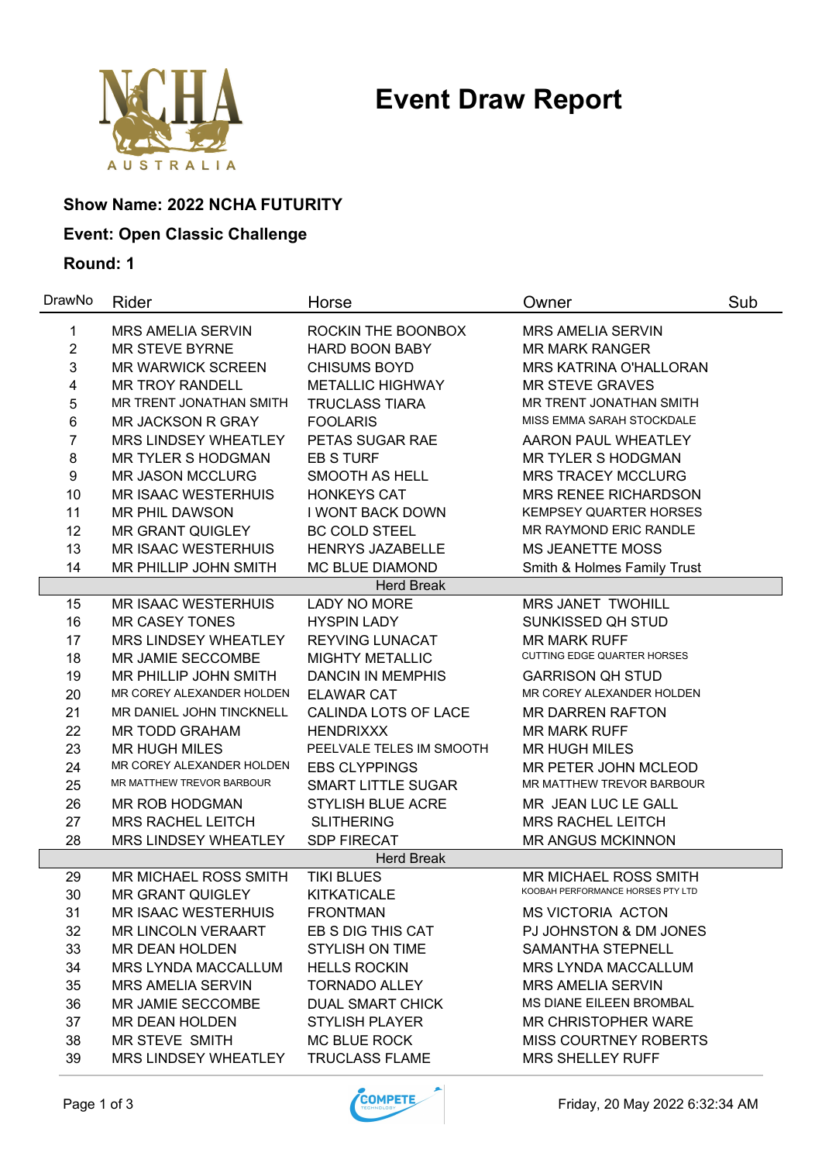

### **Show Name: 2022 NCHA FUTURITY**

### **Event: Open Classic Challenge**

| DrawNo         | Rider                      | Horse                     | Owner                                                      | Sub |
|----------------|----------------------------|---------------------------|------------------------------------------------------------|-----|
| 1              | <b>MRS AMELIA SERVIN</b>   | ROCKIN THE BOONBOX        | <b>MRS AMELIA SERVIN</b>                                   |     |
| $\overline{2}$ | <b>MR STEVE BYRNE</b>      | <b>HARD BOON BABY</b>     | <b>MR MARK RANGER</b>                                      |     |
| 3              | <b>MR WARWICK SCREEN</b>   | <b>CHISUMS BOYD</b>       | <b>MRS KATRINA O'HALLORAN</b>                              |     |
| 4              | <b>MR TROY RANDELL</b>     | <b>METALLIC HIGHWAY</b>   | <b>MR STEVE GRAVES</b>                                     |     |
| 5              | MR TRENT JONATHAN SMITH    | <b>TRUCLASS TIARA</b>     | MR TRENT JONATHAN SMITH                                    |     |
| 6              | <b>MR JACKSON R GRAY</b>   | <b>FOOLARIS</b>           | MISS EMMA SARAH STOCKDALE                                  |     |
| 7              | MRS LINDSEY WHEATLEY       | PETAS SUGAR RAE           | <b>AARON PAUL WHEATLEY</b>                                 |     |
| 8              | MR TYLER S HODGMAN         | <b>EB S TURF</b>          | MR TYLER S HODGMAN                                         |     |
| 9              | <b>MR JASON MCCLURG</b>    | <b>SMOOTH AS HELL</b>     | <b>MRS TRACEY MCCLURG</b>                                  |     |
| 10             | <b>MR ISAAC WESTERHUIS</b> | <b>HONKEYS CAT</b>        | <b>MRS RENEE RICHARDSON</b>                                |     |
| 11             | MR PHIL DAWSON             | <b>I WONT BACK DOWN</b>   | <b>KEMPSEY QUARTER HORSES</b>                              |     |
| 12             | <b>MR GRANT QUIGLEY</b>    | <b>BC COLD STEEL</b>      | MR RAYMOND ERIC RANDLE                                     |     |
| 13             | <b>MR ISAAC WESTERHUIS</b> | <b>HENRYS JAZABELLE</b>   | <b>MS JEANETTE MOSS</b>                                    |     |
| 14             | MR PHILLIP JOHN SMITH      | MC BLUE DIAMOND           | Smith & Holmes Family Trust                                |     |
|                |                            | <b>Herd Break</b>         |                                                            |     |
| 15             | <b>MR ISAAC WESTERHUIS</b> | LADY NO MORE              | MRS JANET TWOHILL                                          |     |
| 16             | <b>MR CASEY TONES</b>      | <b>HYSPIN LADY</b>        | SUNKISSED QH STUD                                          |     |
| 17             | MRS LINDSEY WHEATLEY       | <b>REYVING LUNACAT</b>    | <b>MR MARK RUFF</b>                                        |     |
| 18             | MR JAMIE SECCOMBE          | <b>MIGHTY METALLIC</b>    | CUTTING EDGE QUARTER HORSES                                |     |
| 19             | MR PHILLIP JOHN SMITH      | <b>DANCIN IN MEMPHIS</b>  | <b>GARRISON QH STUD</b>                                    |     |
| 20             | MR COREY ALEXANDER HOLDEN  | <b>ELAWAR CAT</b>         | MR COREY ALEXANDER HOLDEN                                  |     |
| 21             | MR DANIEL JOHN TINCKNELL   | CALINDA LOTS OF LACE      | <b>MR DARREN RAFTON</b>                                    |     |
| 22             | <b>MR TODD GRAHAM</b>      | <b>HENDRIXXX</b>          | <b>MR MARK RUFF</b>                                        |     |
| 23             | <b>MR HUGH MILES</b>       | PEELVALE TELES IM SMOOTH  | <b>MR HUGH MILES</b>                                       |     |
| 24             | MR COREY ALEXANDER HOLDEN  | <b>EBS CLYPPINGS</b>      | MR PETER JOHN MCLEOD                                       |     |
| 25             | MR MATTHEW TREVOR BARBOUR  | <b>SMART LITTLE SUGAR</b> | MR MATTHEW TREVOR BARBOUR                                  |     |
| 26             | MR ROB HODGMAN             | STYLISH BLUE ACRE         | MR JEAN LUC LE GALL                                        |     |
| 27             | <b>MRS RACHEL LEITCH</b>   | <b>SLITHERING</b>         | <b>MRS RACHEL LEITCH</b>                                   |     |
| 28             | MRS LINDSEY WHEATLEY       | <b>SDP FIRECAT</b>        | <b>MR ANGUS MCKINNON</b>                                   |     |
|                |                            | <b>Herd Break</b>         |                                                            |     |
| 29             | MR MICHAEL ROSS SMITH      | <b>TIKI BLUES</b>         | MR MICHAEL ROSS SMITH<br>KOOBAH PERFORMANCE HORSES PTY LTD |     |
| 30             | <b>MR GRANT QUIGLEY</b>    | <b>KITKATICALE</b>        |                                                            |     |
| 31             | <b>MR ISAAC WESTERHUIS</b> | <b>FRONTMAN</b>           | MS VICTORIA ACTON                                          |     |
| 32             | <b>MR LINCOLN VERAART</b>  | EB S DIG THIS CAT         | PJ JOHNSTON & DM JONES                                     |     |
| 33             | MR DEAN HOLDEN             | <b>STYLISH ON TIME</b>    | SAMANTHA STEPNELL                                          |     |
| 34             | <b>MRS LYNDA MACCALLUM</b> | <b>HELLS ROCKIN</b>       | <b>MRS LYNDA MACCALLUM</b>                                 |     |
| 35             | <b>MRS AMELIA SERVIN</b>   | <b>TORNADO ALLEY</b>      | <b>MRS AMELIA SERVIN</b>                                   |     |
| 36             | MR JAMIE SECCOMBE          | <b>DUAL SMART CHICK</b>   | MS DIANE EILEEN BROMBAL                                    |     |
| 37             | MR DEAN HOLDEN             | <b>STYLISH PLAYER</b>     | <b>MR CHRISTOPHER WARE</b>                                 |     |
| 38             | <b>MR STEVE SMITH</b>      | <b>MC BLUE ROCK</b>       | <b>MISS COURTNEY ROBERTS</b>                               |     |
| 39             | MRS LINDSEY WHEATLEY       | <b>TRUCLASS FLAME</b>     | <b>MRS SHELLEY RUFF</b>                                    |     |

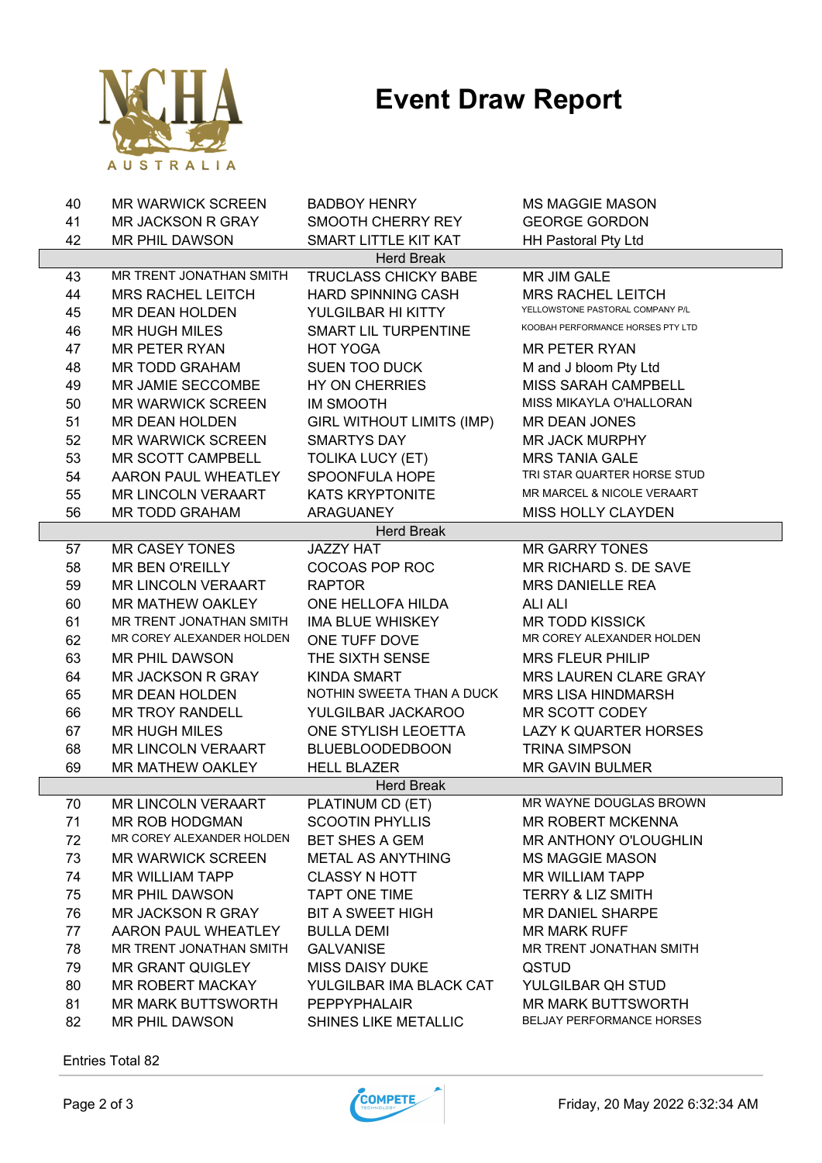

| 40 | <b>MR WARWICK SCREEN</b>  | <b>BADBOY HENRY</b>              | <b>MS MAGGIE MASON</b>            |
|----|---------------------------|----------------------------------|-----------------------------------|
| 41 | <b>MR JACKSON R GRAY</b>  | SMOOTH CHERRY REY                | <b>GEORGE GORDON</b>              |
| 42 | MR PHIL DAWSON            | SMART LITTLE KIT KAT             | HH Pastoral Pty Ltd               |
|    |                           | <b>Herd Break</b>                |                                   |
| 43 | MR TRENT JONATHAN SMITH   | <b>TRUCLASS CHICKY BABE</b>      | MR JIM GALE                       |
| 44 | <b>MRS RACHEL LEITCH</b>  | <b>HARD SPINNING CASH</b>        | <b>MRS RACHEL LEITCH</b>          |
| 45 | <b>MR DEAN HOLDEN</b>     | YULGILBAR HI KITTY               | YELLOWSTONE PASTORAL COMPANY P/L  |
| 46 | <b>MR HUGH MILES</b>      | SMART LIL TURPENTINE             | KOOBAH PERFORMANCE HORSES PTY LTD |
| 47 | <b>MR PETER RYAN</b>      | <b>HOT YOGA</b>                  | MR PETER RYAN                     |
| 48 | MR TODD GRAHAM            | <b>SUEN TOO DUCK</b>             | M and J bloom Pty Ltd             |
| 49 | MR JAMIE SECCOMBE         | HY ON CHERRIES                   | <b>MISS SARAH CAMPBELL</b>        |
| 50 | <b>MR WARWICK SCREEN</b>  | <b>IM SMOOTH</b>                 | MISS MIKAYLA O'HALLORAN           |
| 51 | MR DEAN HOLDEN            | <b>GIRL WITHOUT LIMITS (IMP)</b> | <b>MR DEAN JONES</b>              |
| 52 | <b>MR WARWICK SCREEN</b>  | <b>SMARTYS DAY</b>               | <b>MR JACK MURPHY</b>             |
| 53 | MR SCOTT CAMPBELL         | <b>TOLIKA LUCY (ET)</b>          | <b>MRS TANIA GALE</b>             |
| 54 | AARON PAUL WHEATLEY       | SPOONFULA HOPE                   | TRI STAR QUARTER HORSE STUD       |
| 55 | <b>MR LINCOLN VERAART</b> | <b>KATS KRYPTONITE</b>           | MR MARCEL & NICOLE VERAART        |
| 56 | <b>MR TODD GRAHAM</b>     | <b>ARAGUANEY</b>                 | <b>MISS HOLLY CLAYDEN</b>         |
|    |                           | <b>Herd Break</b>                |                                   |
| 57 | <b>MR CASEY TONES</b>     | <b>JAZZY HAT</b>                 | <b>MR GARRY TONES</b>             |
| 58 | <b>MR BEN O'REILLY</b>    | COCOAS POP ROC                   | MR RICHARD S. DE SAVE             |
| 59 | <b>MR LINCOLN VERAART</b> | <b>RAPTOR</b>                    | <b>MRS DANIELLE REA</b>           |
| 60 | MR MATHEW OAKLEY          | ONE HELLOFA HILDA                | <b>ALI ALI</b>                    |
| 61 | MR TRENT JONATHAN SMITH   | IMA BLUE WHISKEY                 | <b>MR TODD KISSICK</b>            |
| 62 | MR COREY ALEXANDER HOLDEN | ONE TUFF DOVE                    | MR COREY ALEXANDER HOLDEN         |
| 63 | MR PHIL DAWSON            | THE SIXTH SENSE                  | <b>MRS FLEUR PHILIP</b>           |
| 64 | <b>MR JACKSON R GRAY</b>  | <b>KINDA SMART</b>               | MRS LAUREN CLARE GRAY             |
| 65 | MR DEAN HOLDEN            | NOTHIN SWEETA THAN A DUCK        | <b>MRS LISA HINDMARSH</b>         |
| 66 | <b>MR TROY RANDELL</b>    | YULGILBAR JACKAROO               | MR SCOTT CODEY                    |
| 67 | <b>MR HUGH MILES</b>      | ONE STYLISH LEOETTA              | <b>LAZY K QUARTER HORSES</b>      |
| 68 | MR LINCOLN VERAART        | <b>BLUEBLOODEDBOON</b>           | <b>TRINA SIMPSON</b>              |
| 69 | MR MATHEW OAKLEY          | <b>HELL BLAZER</b>               | <b>MR GAVIN BULMER</b>            |
|    |                           | <b>Herd Break</b>                |                                   |
| 70 | <b>MR LINCOLN VERAART</b> | PLATINUM CD (ET)                 | MR WAYNE DOUGLAS BROWN            |
| 71 | MR ROB HODGMAN            | <b>SCOOTIN PHYLLIS</b>           | <b>MR ROBERT MCKENNA</b>          |
| 72 | MR COREY ALEXANDER HOLDEN | <b>BET SHES A GEM</b>            | <b>MR ANTHONY O'LOUGHLIN</b>      |
| 73 | <b>MR WARWICK SCREEN</b>  | METAL AS ANYTHING                | <b>MS MAGGIE MASON</b>            |
| 74 | <b>MR WILLIAM TAPP</b>    | <b>CLASSY N HOTT</b>             | <b>MR WILLIAM TAPP</b>            |
| 75 | MR PHIL DAWSON            | TAPT ONE TIME                    | <b>TERRY &amp; LIZ SMITH</b>      |
| 76 | MR JACKSON R GRAY         | <b>BIT A SWEET HIGH</b>          | <b>MR DANIEL SHARPE</b>           |
| 77 | AARON PAUL WHEATLEY       | <b>BULLA DEMI</b>                | <b>MR MARK RUFF</b>               |
| 78 | MR TRENT JONATHAN SMITH   | <b>GALVANISE</b>                 | MR TRENT JONATHAN SMITH           |
| 79 |                           |                                  |                                   |
|    | <b>MR GRANT QUIGLEY</b>   | <b>MISS DAISY DUKE</b>           | <b>QSTUD</b>                      |
| 80 | MR ROBERT MACKAY          | YULGILBAR IMA BLACK CAT          | YULGILBAR QH STUD                 |
| 81 | <b>MR MARK BUTTSWORTH</b> | <b>PEPPYPHALAIR</b>              | <b>MR MARK BUTTSWORTH</b>         |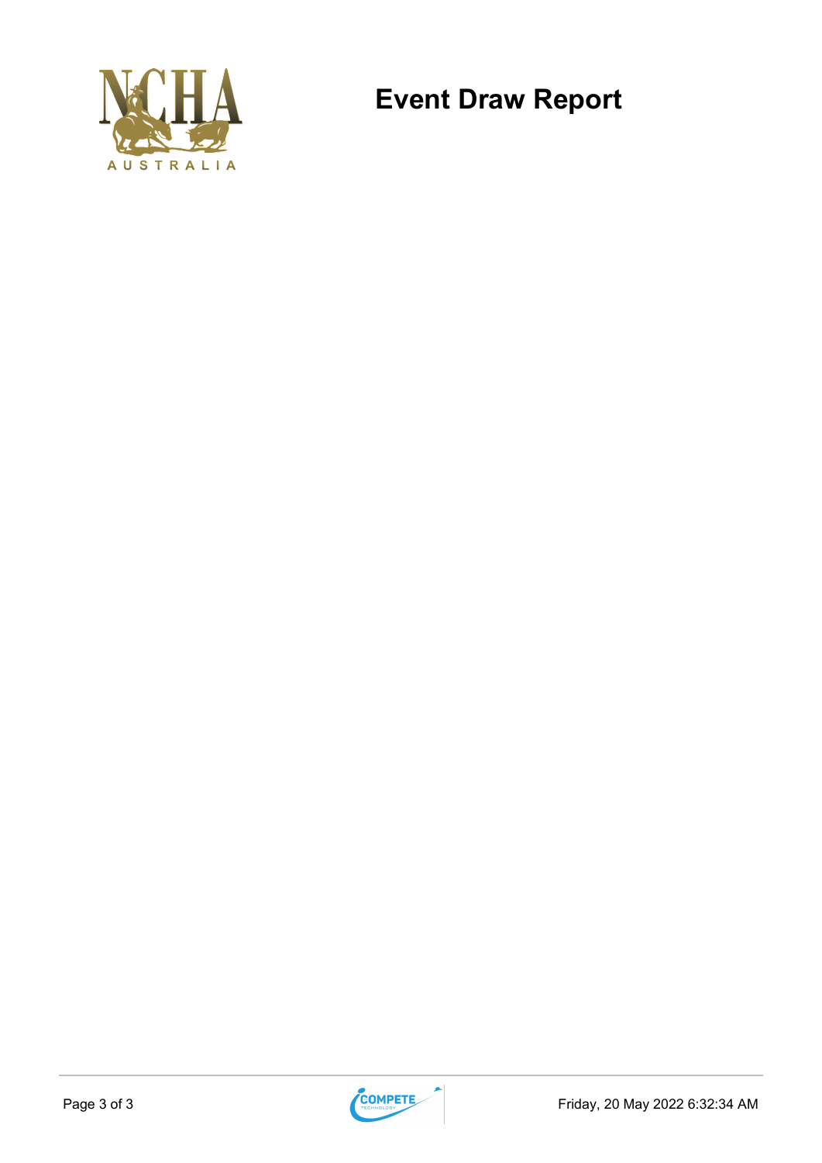

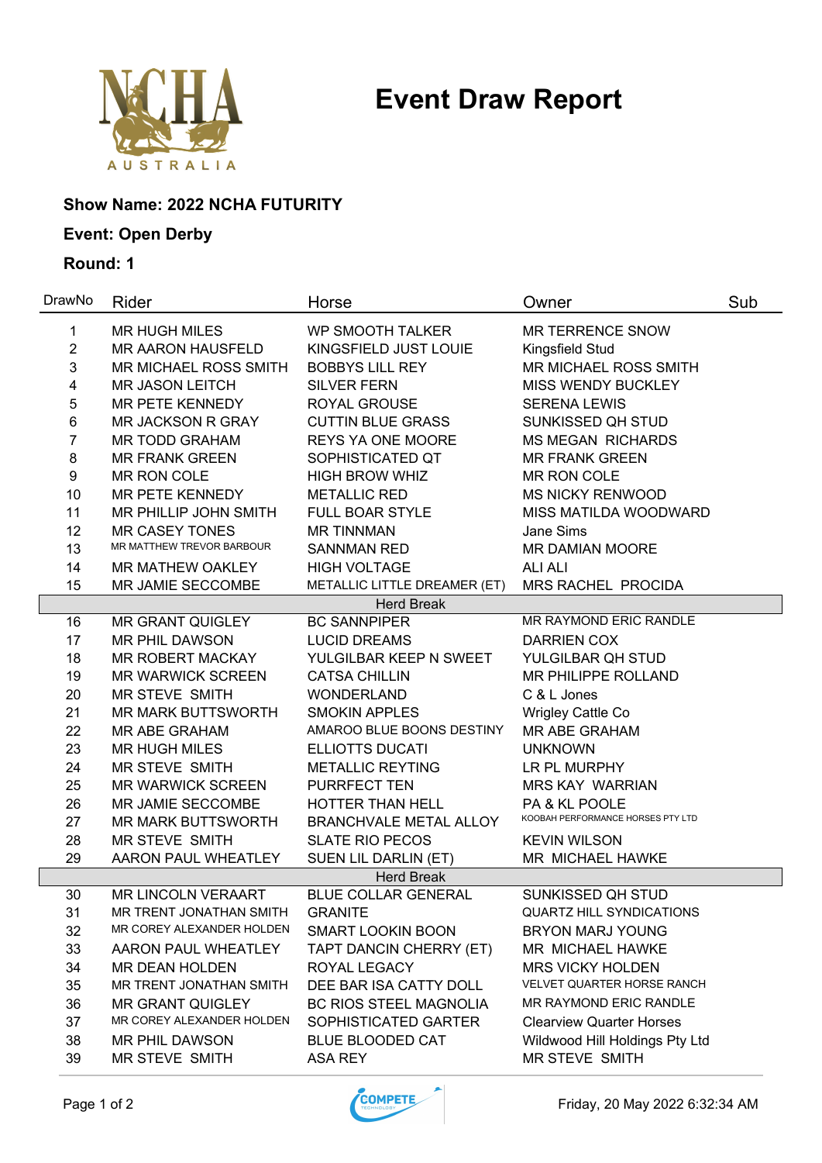

### **Show Name: 2022 NCHA FUTURITY**

### **Event: Open Derby**

| DrawNo           | Rider                     | Horse                         | Owner                             | Sub |
|------------------|---------------------------|-------------------------------|-----------------------------------|-----|
| 1                | <b>MR HUGH MILES</b>      | <b>WP SMOOTH TALKER</b>       | MR TERRENCE SNOW                  |     |
| $\overline{c}$   | <b>MR AARON HAUSFELD</b>  | KINGSFIELD JUST LOUIE         | Kingsfield Stud                   |     |
| 3                | MR MICHAEL ROSS SMITH     | <b>BOBBYS LILL REY</b>        | MR MICHAEL ROSS SMITH             |     |
| 4                | <b>MR JASON LEITCH</b>    | <b>SILVER FERN</b>            | <b>MISS WENDY BUCKLEY</b>         |     |
| 5                | MR PETE KENNEDY           | ROYAL GROUSE                  | <b>SERENA LEWIS</b>               |     |
| 6                | MR JACKSON R GRAY         | <b>CUTTIN BLUE GRASS</b>      | SUNKISSED QH STUD                 |     |
| 7                | <b>MR TODD GRAHAM</b>     | <b>REYS YA ONE MOORE</b>      | <b>MS MEGAN RICHARDS</b>          |     |
| $\bf 8$          | <b>MR FRANK GREEN</b>     | SOPHISTICATED QT              | <b>MR FRANK GREEN</b>             |     |
| $\boldsymbol{9}$ | MR RON COLE               | <b>HIGH BROW WHIZ</b>         | MR RON COLE                       |     |
| 10               | <b>MR PETE KENNEDY</b>    | <b>METALLIC RED</b>           | <b>MS NICKY RENWOOD</b>           |     |
| 11               | MR PHILLIP JOHN SMITH     | <b>FULL BOAR STYLE</b>        | MISS MATILDA WOODWARD             |     |
| 12               | <b>MR CASEY TONES</b>     | <b>MR TINNMAN</b>             | Jane Sims                         |     |
| 13               | MR MATTHEW TREVOR BARBOUR | <b>SANNMAN RED</b>            | MR DAMIAN MOORE                   |     |
| 14               | MR MATHEW OAKLEY          | <b>HIGH VOLTAGE</b>           | <b>ALI ALI</b>                    |     |
| 15               | MR JAMIE SECCOMBE         | METALLIC LITTLE DREAMER (ET)  | MRS RACHEL PROCIDA                |     |
|                  |                           | <b>Herd Break</b>             |                                   |     |
| 16               | <b>MR GRANT QUIGLEY</b>   | <b>BC SANNPIPER</b>           | MR RAYMOND ERIC RANDLE            |     |
| 17               | <b>MR PHIL DAWSON</b>     | <b>LUCID DREAMS</b>           | <b>DARRIEN COX</b>                |     |
| 18               | MR ROBERT MACKAY          | YULGILBAR KEEP N SWEET        | YULGILBAR QH STUD                 |     |
| 19               | <b>MR WARWICK SCREEN</b>  | <b>CATSA CHILLIN</b>          | MR PHILIPPE ROLLAND               |     |
| 20               | MR STEVE SMITH            | <b>WONDERLAND</b>             | C & L Jones                       |     |
| 21               | <b>MR MARK BUTTSWORTH</b> | <b>SMOKIN APPLES</b>          | Wrigley Cattle Co                 |     |
| 22               | MR ABE GRAHAM             | AMAROO BLUE BOONS DESTINY     | MR ABE GRAHAM                     |     |
| 23               | <b>MR HUGH MILES</b>      | <b>ELLIOTTS DUCATI</b>        | <b>UNKNOWN</b>                    |     |
| 24               | MR STEVE SMITH            | <b>METALLIC REYTING</b>       | LR PL MURPHY                      |     |
| 25               | <b>MR WARWICK SCREEN</b>  | <b>PURRFECT TEN</b>           | <b>MRS KAY WARRIAN</b>            |     |
| 26               | MR JAMIE SECCOMBE         | HOTTER THAN HELL              | PA & KL POOLE                     |     |
| 27               | <b>MR MARK BUTTSWORTH</b> | <b>BRANCHVALE METAL ALLOY</b> | KOOBAH PERFORMANCE HORSES PTY LTD |     |
| 28               | MR STEVE SMITH            | <b>SLATE RIO PECOS</b>        | <b>KEVIN WILSON</b>               |     |
| 29               | AARON PAUL WHEATLEY       | SUEN LIL DARLIN (ET)          | MR MICHAEL HAWKE                  |     |
|                  |                           | <b>Herd Break</b>             |                                   |     |
| 30               | <b>MR LINCOLN VERAART</b> | <b>BLUE COLLAR GENERAL</b>    | SUNKISSED QH STUD                 |     |
| 31               | MR TRENT JONATHAN SMITH   | <b>GRANITE</b>                | QUARTZ HILL SYNDICATIONS          |     |
| 32               | MR COREY ALEXANDER HOLDEN | <b>SMART LOOKIN BOON</b>      | <b>BRYON MARJ YOUNG</b>           |     |
| 33               | AARON PAUL WHEATLEY       | TAPT DANCIN CHERRY (ET)       | MR MICHAEL HAWKE                  |     |
| 34               | <b>MR DEAN HOLDEN</b>     | ROYAL LEGACY                  | <b>MRS VICKY HOLDEN</b>           |     |
| 35               | MR TRENT JONATHAN SMITH   | DEE BAR ISA CATTY DOLL        | VELVET QUARTER HORSE RANCH        |     |
| 36               | <b>MR GRANT QUIGLEY</b>   | <b>BC RIOS STEEL MAGNOLIA</b> | MR RAYMOND ERIC RANDLE            |     |
| 37               | MR COREY ALEXANDER HOLDEN | SOPHISTICATED GARTER          | <b>Clearview Quarter Horses</b>   |     |
| 38               | <b>MR PHIL DAWSON</b>     | <b>BLUE BLOODED CAT</b>       | Wildwood Hill Holdings Pty Ltd    |     |
| 39               | MR STEVE SMITH            | <b>ASA REY</b>                | MR STEVE SMITH                    |     |

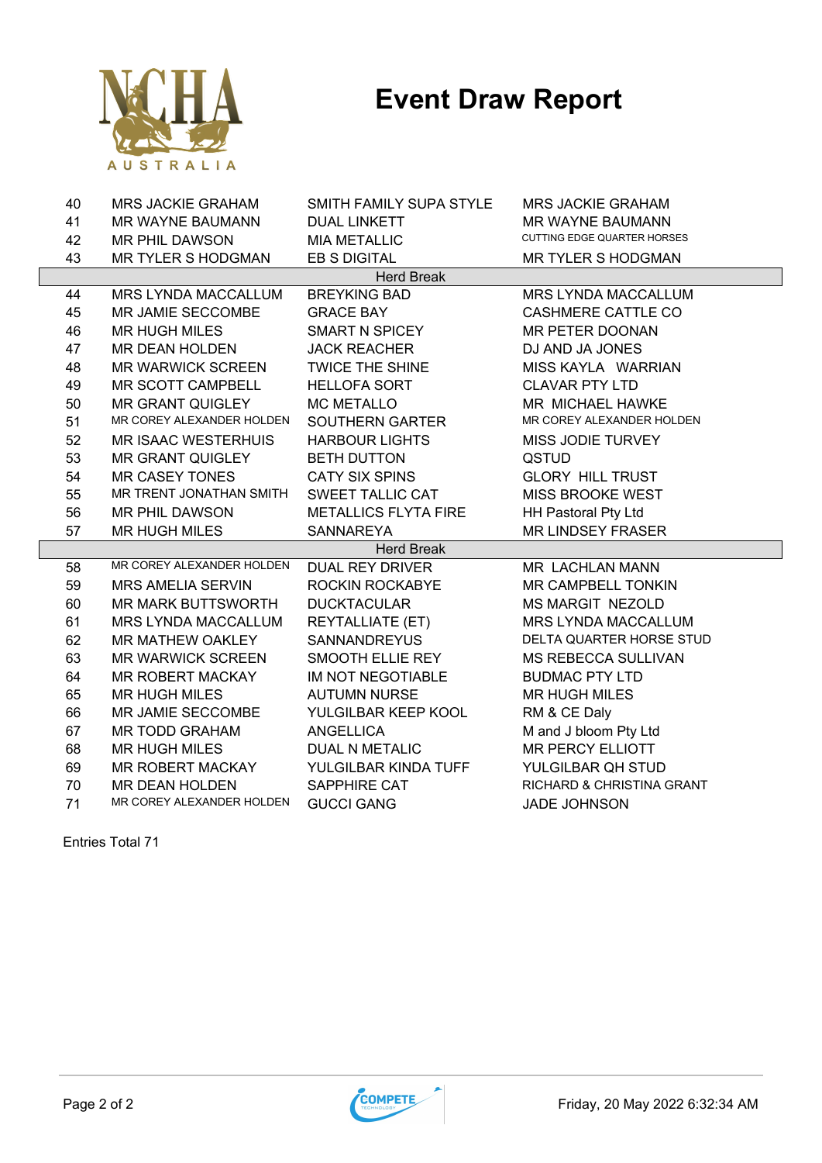

| 40 | <b>MRS JACKIE GRAHAM</b>   | SMITH FAMILY SUPA STYLE     | <b>MRS JACKIE GRAHAM</b>    |
|----|----------------------------|-----------------------------|-----------------------------|
| 41 | MR WAYNE BAUMANN           | <b>DUAL LINKETT</b>         | <b>MR WAYNE BAUMANN</b>     |
| 42 | <b>MR PHIL DAWSON</b>      | <b>MIA METALLIC</b>         | CUTTING EDGE QUARTER HORSES |
| 43 | <b>MR TYLER S HODGMAN</b>  | EB S DIGITAL                | <b>MR TYLER S HODGMAN</b>   |
|    |                            | <b>Herd Break</b>           |                             |
| 44 | MRS LYNDA MACCALLUM        | <b>BREYKING BAD</b>         | MRS LYNDA MACCALLUM         |
| 45 | MR JAMIE SECCOMBE          | <b>GRACE BAY</b>            | <b>CASHMERE CATTLE CO</b>   |
| 46 | <b>MR HUGH MILES</b>       | <b>SMART N SPICEY</b>       | MR PETER DOONAN             |
| 47 | MR DEAN HOLDEN             | <b>JACK REACHER</b>         | DJ AND JA JONES             |
| 48 | <b>MR WARWICK SCREEN</b>   | <b>TWICE THE SHINE</b>      | MISS KAYLA WARRIAN          |
| 49 | MR SCOTT CAMPBELL          | <b>HELLOFA SORT</b>         | <b>CLAVAR PTY LTD</b>       |
| 50 | <b>MR GRANT QUIGLEY</b>    | <b>MC METALLO</b>           | MR MICHAEL HAWKE            |
| 51 | MR COREY ALEXANDER HOLDEN  | SOUTHERN GARTER             | MR COREY ALEXANDER HOLDEN   |
| 52 | <b>MR ISAAC WESTERHUIS</b> | <b>HARBOUR LIGHTS</b>       | MISS JODIE TURVEY           |
| 53 | <b>MR GRANT QUIGLEY</b>    | <b>BETH DUTTON</b>          | <b>QSTUD</b>                |
| 54 | <b>MR CASEY TONES</b>      | <b>CATY SIX SPINS</b>       | <b>GLORY HILL TRUST</b>     |
| 55 | MR TRENT JONATHAN SMITH    | SWEET TALLIC CAT            | <b>MISS BROOKE WEST</b>     |
| 56 | MR PHIL DAWSON             | <b>METALLICS FLYTA FIRE</b> | <b>HH Pastoral Pty Ltd</b>  |
| 57 | <b>MR HUGH MILES</b>       | <b>SANNAREYA</b>            | <b>MR LINDSEY FRASER</b>    |
|    |                            | <b>Herd Break</b>           |                             |
| 58 | MR COREY ALEXANDER HOLDEN  | <b>DUAL REY DRIVER</b>      | MR LACHLAN MANN             |
| 59 | <b>MRS AMELIA SERVIN</b>   | ROCKIN ROCKABYE             | MR CAMPBELL TONKIN          |
| 60 | <b>MR MARK BUTTSWORTH</b>  | <b>DUCKTACULAR</b>          | <b>MS MARGIT NEZOLD</b>     |
| 61 | MRS LYNDA MACCALLUM        | <b>REYTALLIATE (ET)</b>     | MRS LYNDA MACCALLUM         |
| 62 | MR MATHEW OAKLEY           | <b>SANNANDREYUS</b>         | DELTA QUARTER HORSE STUD    |
| 63 | <b>MR WARWICK SCREEN</b>   | SMOOTH ELLIE REY            | <b>MS REBECCA SULLIVAN</b>  |
| 64 | MR ROBERT MACKAY           | IM NOT NEGOTIABLE           | <b>BUDMAC PTY LTD</b>       |
| 65 | <b>MR HUGH MILES</b>       | <b>AUTUMN NURSE</b>         | <b>MR HUGH MILES</b>        |
| 66 | MR JAMIE SECCOMBE          | YULGILBAR KEEP KOOL         | RM & CE Daly                |
| 67 | <b>MR TODD GRAHAM</b>      | <b>ANGELLICA</b>            | M and J bloom Pty Ltd       |
| 68 | <b>MR HUGH MILES</b>       | <b>DUAL N METALIC</b>       | <b>MR PERCY ELLIOTT</b>     |
| 69 | <b>MR ROBERT MACKAY</b>    | YULGILBAR KINDA TUFF        | YULGILBAR QH STUD           |
| 70 | <b>MR DEAN HOLDEN</b>      | SAPPHIRE CAT                | RICHARD & CHRISTINA GRANT   |
| 71 | MR COREY ALEXANDER HOLDEN  | <b>GUCCI GANG</b>           | <b>JADE JOHNSON</b>         |

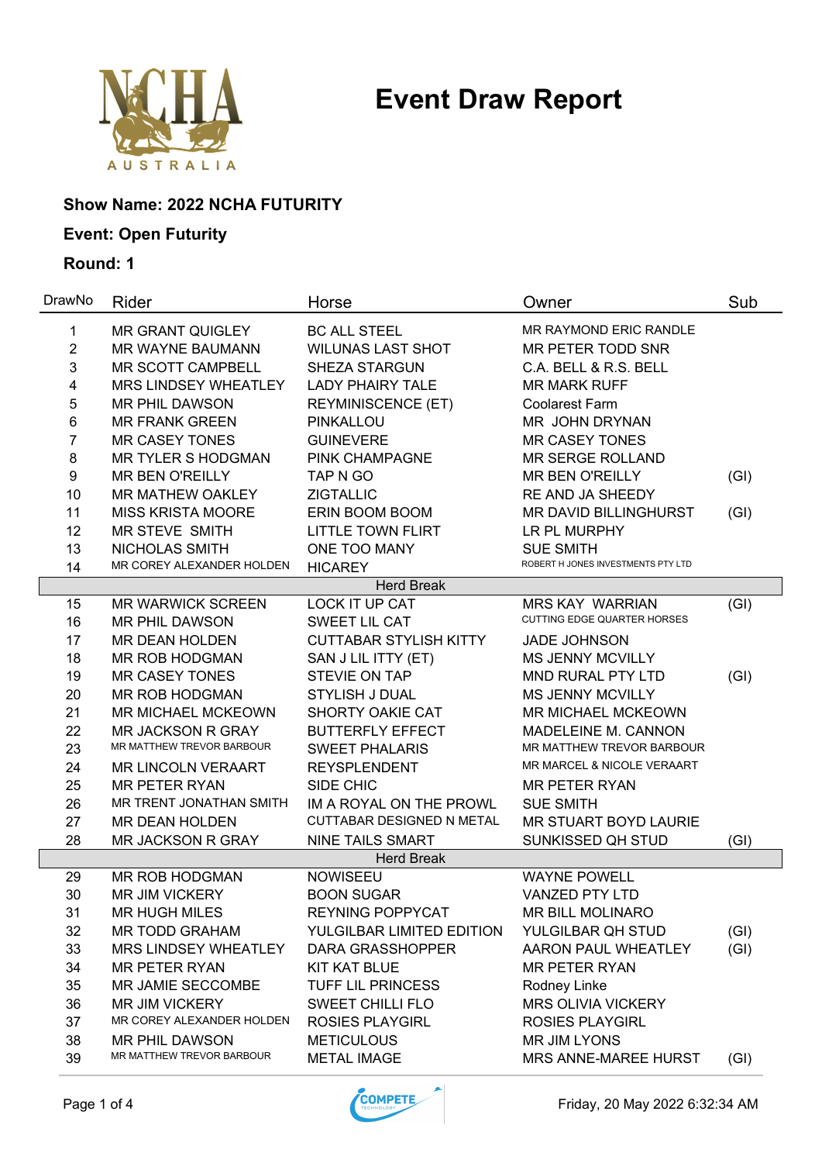

### **Show Name: 2022 NCHA FUTURITY**

### **Event: Open Futurity**

| DrawNo         | Rider                       | Horse                         | Owner                                 | Sub  |
|----------------|-----------------------------|-------------------------------|---------------------------------------|------|
| 1              | <b>MR GRANT QUIGLEY</b>     | <b>BC ALL STEEL</b>           | <b>MR RAYMOND ERIC RANDLE</b>         |      |
| $\overline{2}$ | <b>MR WAYNE BAUMANN</b>     | <b>WILUNAS LAST SHOT</b>      | MR PETER TODD SNR                     |      |
| 3              | <b>MR SCOTT CAMPBELL</b>    | <b>SHEZA STARGUN</b>          | C.A. BELL & R.S. BELL                 |      |
| 4              | <b>MRS LINDSEY WHEATLEY</b> | <b>LADY PHAIRY TALE</b>       | <b>MR MARK RUFF</b>                   |      |
| 5              | <b>MR PHIL DAWSON</b>       | <b>REYMINISCENCE (ET)</b>     | <b>Coolarest Farm</b>                 |      |
| 6              | <b>MR FRANK GREEN</b>       | PINKALLOU                     | MR JOHN DRYNAN                        |      |
| 7              | <b>MR CASEY TONES</b>       | <b>GUINEVERE</b>              | <b>MR CASEY TONES</b>                 |      |
| 8              | <b>MR TYLER S HODGMAN</b>   | PINK CHAMPAGNE                | <b>MR SERGE ROLLAND</b>               |      |
| 9              | <b>MR BEN O'REILLY</b>      | TAP N GO                      | <b>MR BEN O'REILLY</b>                | (GI) |
| 10             | <b>MR MATHEW OAKLEY</b>     | <b>ZIGTALLIC</b>              | RE AND JA SHEEDY                      |      |
| 11             | <b>MISS KRISTA MOORE</b>    | ERIN BOOM BOOM                | MR DAVID BILLINGHURST                 | (GI) |
| 12             | MR STEVE SMITH              | <b>LITTLE TOWN FLIRT</b>      | LR PL MURPHY                          |      |
| 13             | NICHOLAS SMITH              | ONE TOO MANY                  | <b>SUE SMITH</b>                      |      |
| 14             | MR COREY ALEXANDER HOLDEN   | <b>HICAREY</b>                | ROBERT H JONES INVESTMENTS PTY LTD    |      |
|                |                             | <b>Herd Break</b>             |                                       |      |
| 15             | <b>MR WARWICK SCREEN</b>    | <b>LOCK IT UP CAT</b>         | <b>MRS KAY WARRIAN</b>                | (GI) |
| 16             | <b>MR PHIL DAWSON</b>       | SWEET LIL CAT                 | <b>CUTTING EDGE QUARTER HORSES</b>    |      |
| 17             | <b>MR DEAN HOLDEN</b>       | <b>CUTTABAR STYLISH KITTY</b> | <b>JADE JOHNSON</b>                   |      |
| 18             | MR ROB HODGMAN              | SAN J LIL ITTY (ET)           | <b>MS JENNY MCVILLY</b>               |      |
| 19             | <b>MR CASEY TONES</b>       | <b>STEVIE ON TAP</b>          | MND RURAL PTY LTD                     | (GI) |
| 20             | MR ROB HODGMAN              | <b>STYLISH J DUAL</b>         | <b>MS JENNY MCVILLY</b>               |      |
| 21             | <b>MR MICHAEL MCKEOWN</b>   | SHORTY OAKIE CAT              | <b>MR MICHAEL MCKEOWN</b>             |      |
| 22             | <b>MR JACKSON R GRAY</b>    | <b>BUTTERFLY EFFECT</b>       | MADELEINE M. CANNON                   |      |
| 23             | MR MATTHEW TREVOR BARBOUR   | <b>SWEET PHALARIS</b>         | MR MATTHEW TREVOR BARBOUR             |      |
| 24             | <b>MR LINCOLN VERAART</b>   | <b>REYSPLENDENT</b>           | <b>MR MARCEL &amp; NICOLE VERAART</b> |      |
| 25             | <b>MR PETER RYAN</b>        | SIDE CHIC                     | <b>MR PETER RYAN</b>                  |      |
| 26             | MR TRENT JONATHAN SMITH     | IM A ROYAL ON THE PROWL       | <b>SUE SMITH</b>                      |      |
| 27             | MR DEAN HOLDEN              | CUTTABAR DESIGNED N METAL     | MR STUART BOYD LAURIE                 |      |
| 28             | <b>MR JACKSON R GRAY</b>    | <b>NINE TAILS SMART</b>       | SUNKISSED QH STUD                     | (GI) |
|                |                             | <b>Herd Break</b>             |                                       |      |
| 29             | MR ROB HODGMAN              | <b>NOWISEEU</b>               | <b>WAYNE POWELL</b>                   |      |
| 30             | <b>MR JIM VICKERY</b>       | <b>BOON SUGAR</b>             | <b>VANZED PTY LTD</b>                 |      |
| 31             | <b>MR HUGH MILES</b>        | REYNING POPPYCAT              | MR BILL MOLINARO                      |      |
| 32             | <b>MR TODD GRAHAM</b>       | YULGILBAR LIMITED EDITION     | YULGILBAR QH STUD                     | (GI) |
| 33             | <b>MRS LINDSEY WHEATLEY</b> | <b>DARA GRASSHOPPER</b>       | <b>AARON PAUL WHEATLEY</b>            | (GI) |
| 34             | <b>MR PETER RYAN</b>        | <b>KIT KAT BLUE</b>           | <b>MR PETER RYAN</b>                  |      |
| 35             | MR JAMIE SECCOMBE           | <b>TUFF LIL PRINCESS</b>      | Rodney Linke                          |      |
| 36             | <b>MR JIM VICKERY</b>       | <b>SWEET CHILLI FLO</b>       | <b>MRS OLIVIA VICKERY</b>             |      |
| 37             | MR COREY ALEXANDER HOLDEN   | <b>ROSIES PLAYGIRL</b>        | <b>ROSIES PLAYGIRL</b>                |      |
| 38             | <b>MR PHIL DAWSON</b>       | <b>METICULOUS</b>             | MR JIM LYONS                          |      |
| 39             | MR MATTHEW TREVOR BARBOUR   | <b>METAL IMAGE</b>            | MRS ANNE-MAREE HURST                  | (GI) |

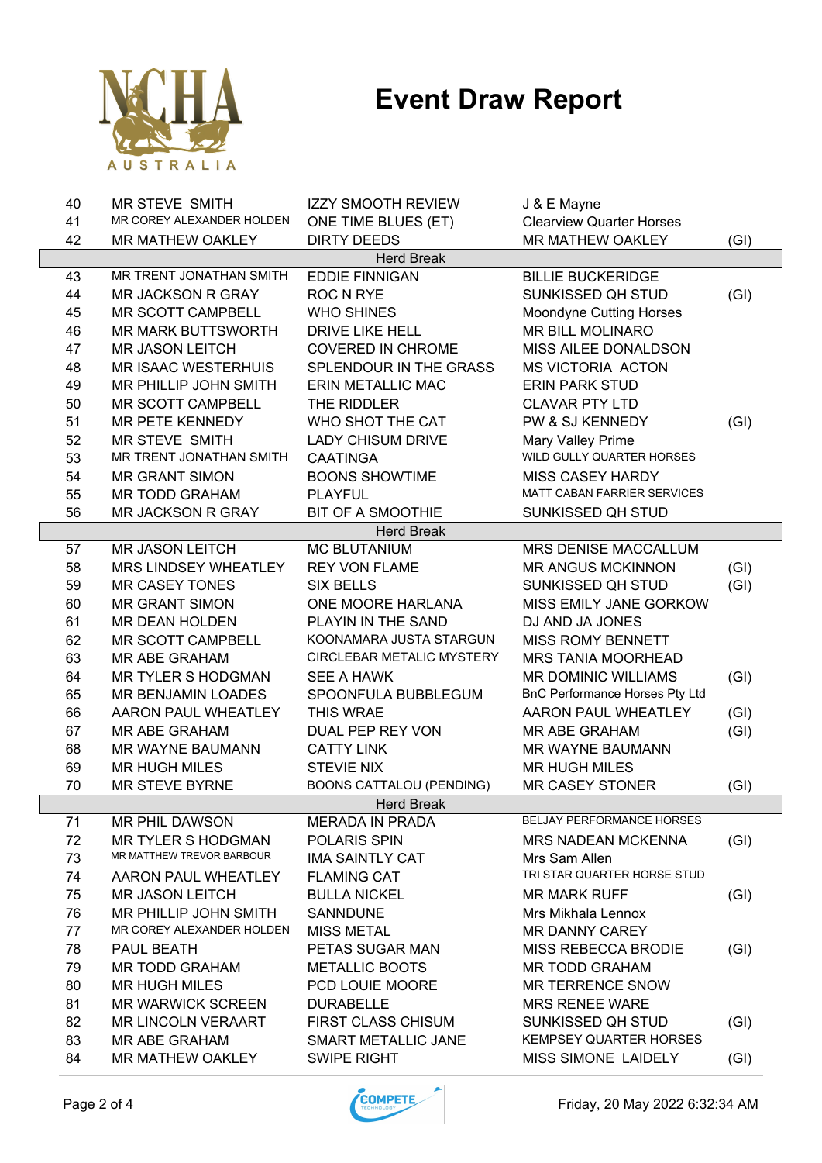

| 40<br>MR STEVE SMITH<br><b>IZZY SMOOTH REVIEW</b><br>J & E Mayne                          |      |
|-------------------------------------------------------------------------------------------|------|
| MR COREY ALEXANDER HOLDEN<br>41<br><b>Clearview Quarter Horses</b><br>ONE TIME BLUES (ET) |      |
| 42<br><b>MR MATHEW OAKLEY</b><br>MR MATHEW OAKLEY<br><b>DIRTY DEEDS</b>                   | (GI) |
| <b>Herd Break</b>                                                                         |      |
| MR TRENT JONATHAN SMITH<br><b>EDDIE FINNIGAN</b><br>43<br><b>BILLIE BUCKERIDGE</b>        |      |
| 44<br>ROC N RYE<br>SUNKISSED QH STUD<br><b>MR JACKSON R GRAY</b>                          | (GI) |
| 45<br>MR SCOTT CAMPBELL<br><b>WHO SHINES</b><br>Moondyne Cutting Horses                   |      |
| 46<br><b>MR MARK BUTTSWORTH</b><br><b>DRIVE LIKE HELL</b><br><b>MR BILL MOLINARO</b>      |      |
| 47<br><b>COVERED IN CHROME</b><br>MISS AILEE DONALDSON<br><b>MR JASON LEITCH</b>          |      |
| 48<br><b>MR ISAAC WESTERHUIS</b><br>SPLENDOUR IN THE GRASS<br><b>MS VICTORIA ACTON</b>    |      |
| 49<br><b>ERIN PARK STUD</b><br>MR PHILLIP JOHN SMITH<br><b>ERIN METALLIC MAC</b>          |      |
| 50<br>THE RIDDLER<br><b>CLAVAR PTY LTD</b><br>MR SCOTT CAMPBELL                           |      |
| 51<br>WHO SHOT THE CAT<br>PW & SJ KENNEDY<br>MR PETE KENNEDY                              | (GI) |
| 52<br>MR STEVE SMITH<br><b>LADY CHISUM DRIVE</b><br>Mary Valley Prime                     |      |
| WILD GULLY QUARTER HORSES<br>53<br>MR TRENT JONATHAN SMITH<br><b>CAATINGA</b>             |      |
| 54<br><b>MR GRANT SIMON</b><br><b>BOONS SHOWTIME</b><br><b>MISS CASEY HARDY</b>           |      |
| <b>MATT CABAN FARRIER SERVICES</b><br>55<br>MR TODD GRAHAM<br><b>PLAYFUL</b>              |      |
| 56<br><b>MR JACKSON R GRAY</b><br><b>BIT OF A SMOOTHIE</b><br>SUNKISSED QH STUD           |      |
| <b>Herd Break</b>                                                                         |      |
| <b>MC BLUTANIUM</b><br><b>MR JASON LEITCH</b><br>MRS DENISE MACCALLUM<br>57               |      |
| 58<br>MRS LINDSEY WHEATLEY<br><b>REY VON FLAME</b><br><b>MR ANGUS MCKINNON</b>            | (GI) |
| 59<br><b>MR CASEY TONES</b><br>SUNKISSED QH STUD<br><b>SIX BELLS</b>                      | (GI) |
| 60<br><b>MR GRANT SIMON</b><br>ONE MOORE HARLANA<br><b>MISS EMILY JANE GORKOW</b>         |      |
| 61<br>MR DEAN HOLDEN<br>PLAYIN IN THE SAND<br>DJ AND JA JONES                             |      |
| 62<br>MR SCOTT CAMPBELL<br>KOONAMARA JUSTA STARGUN<br>MISS ROMY BENNETT                   |      |
| 63<br>MR ABE GRAHAM<br><b>CIRCLEBAR METALIC MYSTERY</b><br>MRS TANIA MOORHEAD             |      |
| 64<br><b>MR TYLER S HODGMAN</b><br>SEE A HAWK<br><b>MR DOMINIC WILLIAMS</b>               | (GI) |
| 65<br>SPOONFULA BUBBLEGUM<br>MR BENJAMIN LOADES<br>BnC Performance Horses Pty Ltd         |      |
| 66<br>AARON PAUL WHEATLEY<br>THIS WRAE<br>AARON PAUL WHEATLEY                             | (GI) |
| 67<br><b>MR ABE GRAHAM</b><br>DUAL PEP REY VON<br><b>MR ABE GRAHAM</b>                    | (GI) |
| 68<br><b>CATTY LINK</b><br>MR WAYNE BAUMANN<br><b>MR WAYNE BAUMANN</b>                    |      |
| <b>STEVIE NIX</b><br>69<br><b>MR HUGH MILES</b><br><b>MR HUGH MILES</b>                   |      |
| <b>BOONS CATTALOU (PENDING)</b><br>70<br>MR STEVE BYRNE<br><b>MR CASEY STONER</b>         | (GI) |
| <b>Herd Break</b>                                                                         |      |
| <b>BELJAY PERFORMANCE HORSES</b><br><b>MR PHIL DAWSON</b><br><b>MERADA IN PRADA</b><br>71 |      |
| 72<br><b>MR TYLER S HODGMAN</b><br>POLARIS SPIN<br><b>MRS NADEAN MCKENNA</b>              | (GI) |
| MR MATTHEW TREVOR BARBOUR<br>73<br><b>IMA SAINTLY CAT</b><br>Mrs Sam Allen                |      |
| TRI STAR QUARTER HORSE STUD<br>74<br>AARON PAUL WHEATLEY<br><b>FLAMING CAT</b>            |      |
| 75<br><b>MR JASON LEITCH</b><br><b>BULLA NICKEL</b><br><b>MR MARK RUFF</b>                | (GI) |
| MR PHILLIP JOHN SMITH<br>76<br><b>SANNDUNE</b><br>Mrs Mikhala Lennox                      |      |
| MR COREY ALEXANDER HOLDEN<br>77<br><b>MISS METAL</b><br><b>MR DANNY CAREY</b>             |      |
| 78<br>PAUL BEATH<br>PETAS SUGAR MAN<br><b>MISS REBECCA BRODIE</b>                         | (GI) |
| 79<br><b>MR TODD GRAHAM</b><br><b>METALLIC BOOTS</b><br><b>MR TODD GRAHAM</b>             |      |
| PCD LOUIE MOORE<br>80<br><b>MR HUGH MILES</b><br><b>MR TERRENCE SNOW</b>                  |      |
| 81<br><b>MR WARWICK SCREEN</b><br><b>DURABELLE</b><br><b>MRS RENEE WARE</b>               |      |
| 82<br><b>MR LINCOLN VERAART</b><br><b>FIRST CLASS CHISUM</b><br>SUNKISSED QH STUD         | (GI) |
| <b>KEMPSEY QUARTER HORSES</b><br>83<br>MR ABE GRAHAM<br>SMART METALLIC JANE               |      |
|                                                                                           |      |

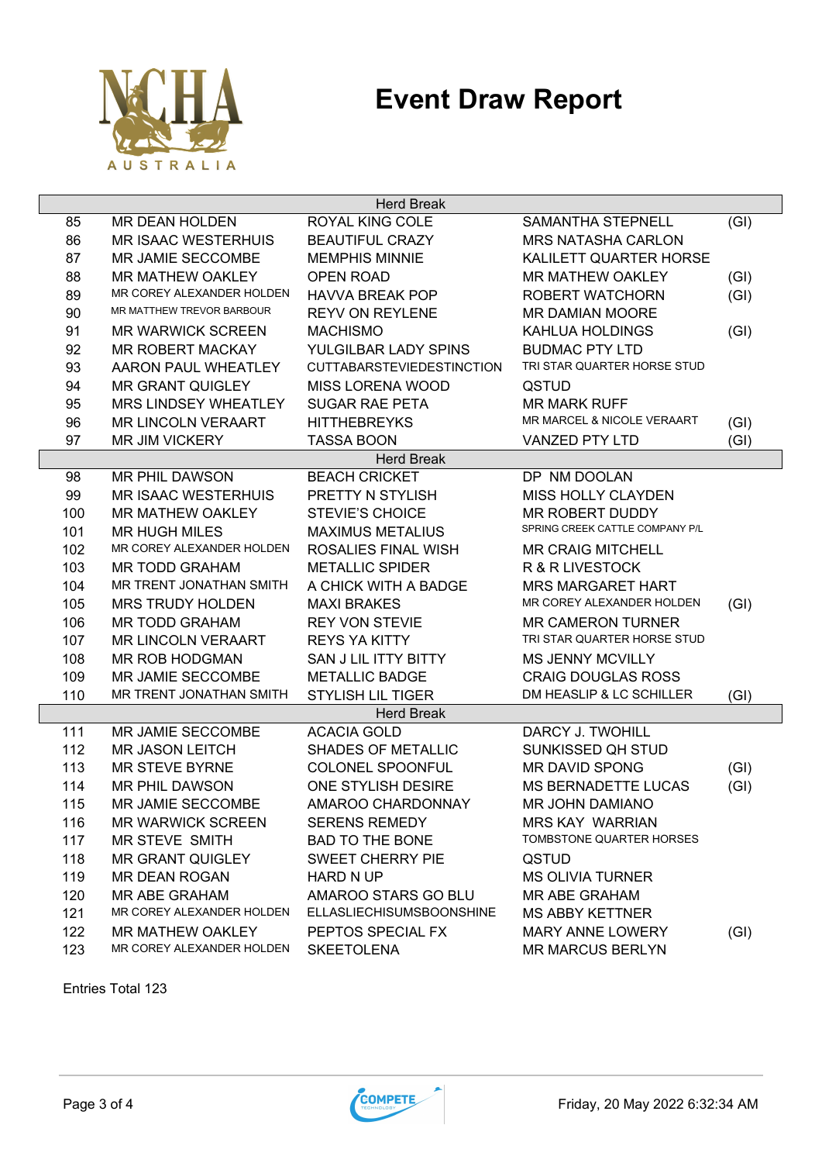

| <b>Herd Break</b> |                            |                                  |                                 |      |
|-------------------|----------------------------|----------------------------------|---------------------------------|------|
| 85                | <b>MR DEAN HOLDEN</b>      | <b>ROYAL KING COLE</b>           | <b>SAMANTHA STEPNELL</b>        | (GI) |
| 86                | <b>MR ISAAC WESTERHUIS</b> | <b>BEAUTIFUL CRAZY</b>           | <b>MRS NATASHA CARLON</b>       |      |
| 87                | MR JAMIE SECCOMBE          | <b>MEMPHIS MINNIE</b>            | KALILETT QUARTER HORSE          |      |
| 88                | <b>MR MATHEW OAKLEY</b>    | <b>OPEN ROAD</b>                 | <b>MR MATHEW OAKLEY</b>         | (GI) |
| 89                | MR COREY ALEXANDER HOLDEN  | <b>HAVVA BREAK POP</b>           | <b>ROBERT WATCHORN</b>          | (GI) |
| 90                | MR MATTHEW TREVOR BARBOUR  | <b>REYV ON REYLENE</b>           | <b>MR DAMIAN MOORE</b>          |      |
| 91                | <b>MR WARWICK SCREEN</b>   | <b>MACHISMO</b>                  | KAHLUA HOLDINGS                 | (GI) |
| 92                | <b>MR ROBERT MACKAY</b>    | YULGILBAR LADY SPINS             | <b>BUDMAC PTY LTD</b>           |      |
| 93                | AARON PAUL WHEATLEY        | <b>CUTTABARSTEVIEDESTINCTION</b> | TRI STAR QUARTER HORSE STUD     |      |
| 94                | <b>MR GRANT QUIGLEY</b>    | <b>MISS LORENA WOOD</b>          | QSTUD                           |      |
| 95                | MRS LINDSEY WHEATLEY       | <b>SUGAR RAE PETA</b>            | <b>MR MARK RUFF</b>             |      |
| 96                | MR LINCOLN VERAART         | <b>HITTHEBREYKS</b>              | MR MARCEL & NICOLE VERAART      | (GI) |
| 97                | MR JIM VICKERY             | <b>TASSA BOON</b>                | <b>VANZED PTY LTD</b>           | (GI) |
|                   |                            | <b>Herd Break</b>                |                                 |      |
| 98                | <b>MR PHIL DAWSON</b>      | <b>BEACH CRICKET</b>             | DP NM DOOLAN                    |      |
| 99                | <b>MR ISAAC WESTERHUIS</b> | PRETTY N STYLISH                 | <b>MISS HOLLY CLAYDEN</b>       |      |
| 100               | <b>MR MATHEW OAKLEY</b>    | <b>STEVIE'S CHOICE</b>           | MR ROBERT DUDDY                 |      |
| 101               | <b>MR HUGH MILES</b>       | <b>MAXIMUS METALIUS</b>          | SPRING CREEK CATTLE COMPANY P/L |      |
| 102               | MR COREY ALEXANDER HOLDEN  | ROSALIES FINAL WISH              | <b>MR CRAIG MITCHELL</b>        |      |
| 103               | <b>MR TODD GRAHAM</b>      | <b>METALLIC SPIDER</b>           | R & R LIVESTOCK                 |      |
| 104               | MR TRENT JONATHAN SMITH    | A CHICK WITH A BADGE             | <b>MRS MARGARET HART</b>        |      |
| 105               | <b>MRS TRUDY HOLDEN</b>    | <b>MAXI BRAKES</b>               | MR COREY ALEXANDER HOLDEN       | (GI) |
| 106               | <b>MR TODD GRAHAM</b>      | <b>REY VON STEVIE</b>            | <b>MR CAMERON TURNER</b>        |      |
| 107               | <b>MR LINCOLN VERAART</b>  | <b>REYS YA KITTY</b>             | TRI STAR QUARTER HORSE STUD     |      |
| 108               | MR ROB HODGMAN             | SAN J LIL ITTY BITTY             | <b>MS JENNY MCVILLY</b>         |      |
| 109               | MR JAMIE SECCOMBE          | <b>METALLIC BADGE</b>            | <b>CRAIG DOUGLAS ROSS</b>       |      |
| 110               | MR TRENT JONATHAN SMITH    | <b>STYLISH LIL TIGER</b>         | DM HEASLIP & LC SCHILLER        | (GI) |
|                   |                            | <b>Herd Break</b>                |                                 |      |
| 111               | MR JAMIE SECCOMBE          | <b>ACACIA GOLD</b>               | DARCY J. TWOHILL                |      |
| 112               | <b>MR JASON LEITCH</b>     | <b>SHADES OF METALLIC</b>        | <b>SUNKISSED QH STUD</b>        |      |
| 113               | <b>MR STEVE BYRNE</b>      | COLONEL SPOONFUL                 | <b>MR DAVID SPONG</b>           | (GI) |
| 114               | <b>MR PHIL DAWSON</b>      | ONE STYLISH DESIRE               | <b>MS BERNADETTE LUCAS</b>      | (GI) |
| 115               | MR JAMIE SECCOMBE          | AMAROO CHARDONNAY                | <b>MR JOHN DAMIANO</b>          |      |
| 116               | <b>MR WARWICK SCREEN</b>   | <b>SERENS REMEDY</b>             | <b>MRS KAY WARRIAN</b>          |      |
| 117               | <b>MR STEVE SMITH</b>      | <b>BAD TO THE BONE</b>           | TOMBSTONE QUARTER HORSES        |      |
| 118               | <b>MR GRANT QUIGLEY</b>    | SWEET CHERRY PIE                 | QSTUD                           |      |
| 119               | MR DEAN ROGAN              | <b>HARD N UP</b>                 | <b>MS OLIVIA TURNER</b>         |      |
| 120               | MR ABE GRAHAM              | AMAROO STARS GO BLU              | MR ABE GRAHAM                   |      |
| 121               | MR COREY ALEXANDER HOLDEN  | <b>ELLASLIECHISUMSBOONSHINE</b>  | <b>MS ABBY KETTNER</b>          |      |
| 122               | MR MATHEW OAKLEY           | PEPTOS SPECIAL FX                | <b>MARY ANNE LOWERY</b>         | (GI) |
| 123               | MR COREY ALEXANDER HOLDEN  | <b>SKEETOLENA</b>                | <b>MR MARCUS BERLYN</b>         |      |

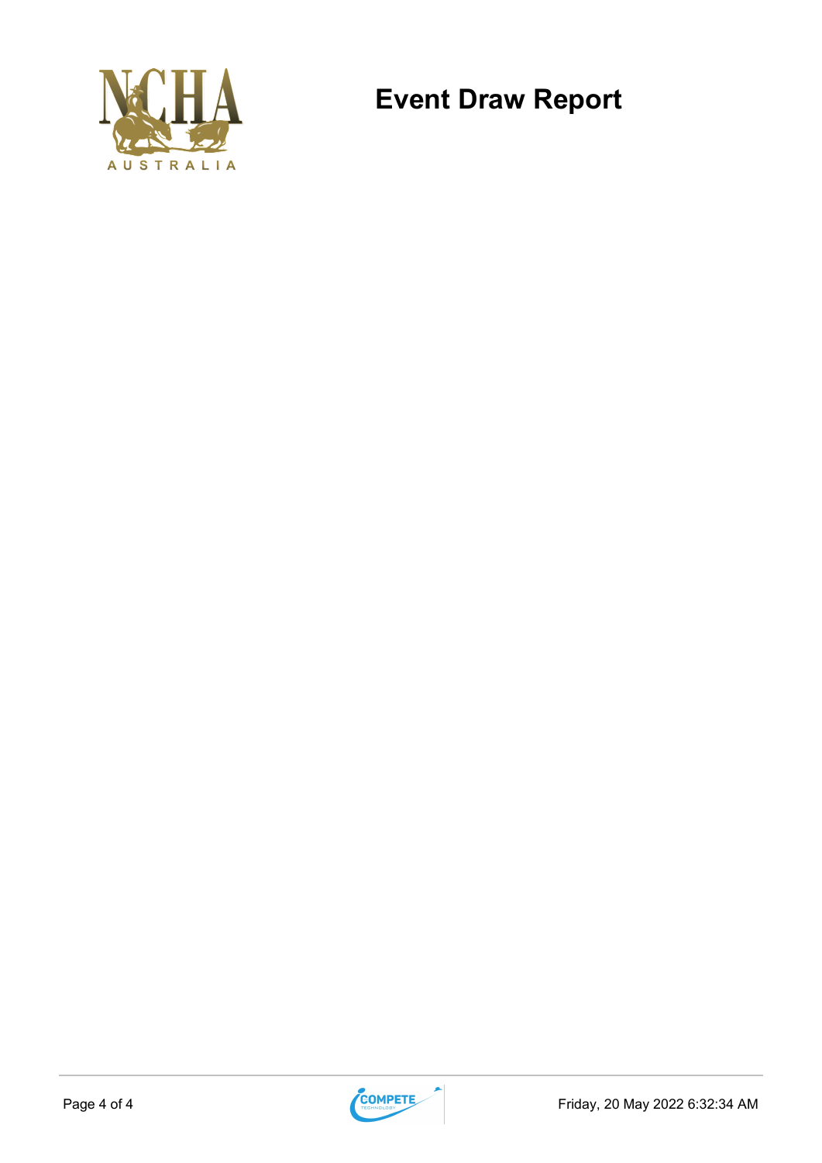

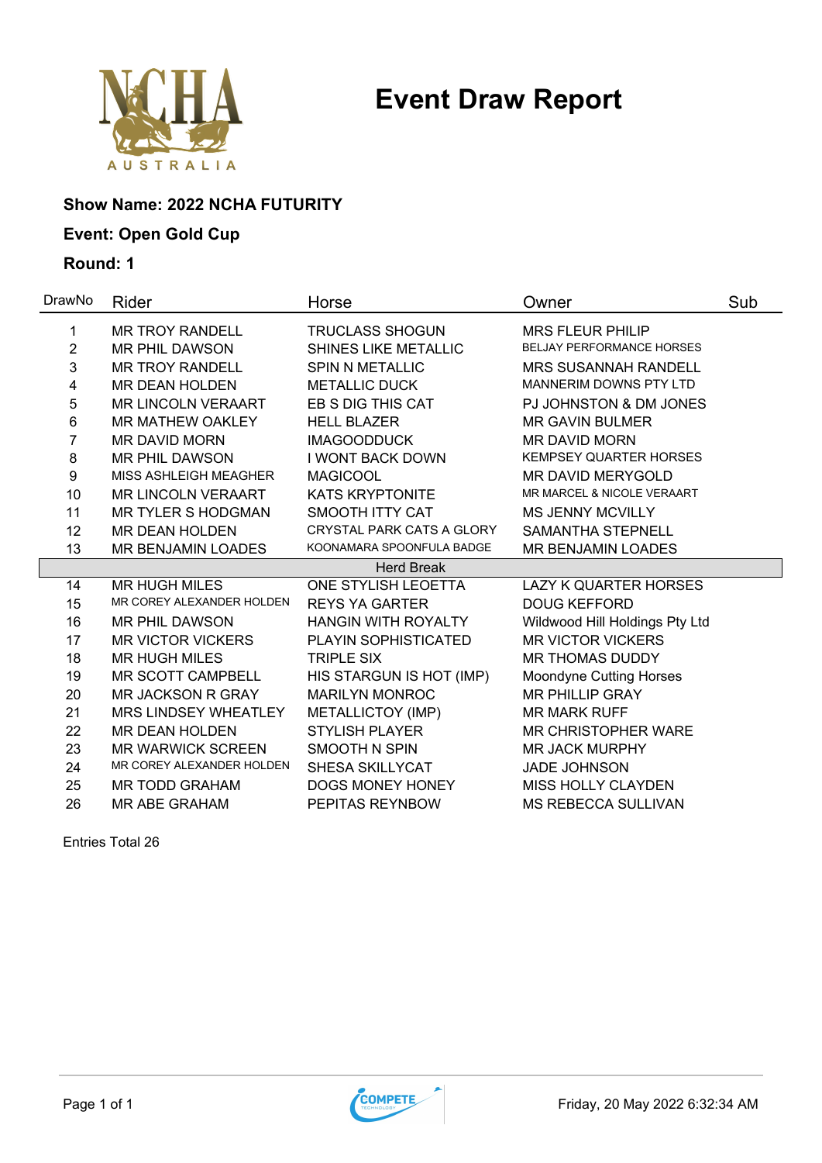

### **Show Name: 2022 NCHA FUTURITY**

### **Event: Open Gold Cup**

#### **Round: 1**

| DrawNo | <b>Rider</b>                | Horse                      | Owner                            | Sub |
|--------|-----------------------------|----------------------------|----------------------------------|-----|
| 1      | <b>MR TROY RANDELL</b>      | <b>TRUCLASS SHOGUN</b>     | <b>MRS FLEUR PHILIP</b>          |     |
| 2      | <b>MR PHIL DAWSON</b>       | SHINES LIKE METALLIC       | <b>BELJAY PERFORMANCE HORSES</b> |     |
| 3      | <b>MR TROY RANDELL</b>      | <b>SPIN N METALLIC</b>     | <b>MRS SUSANNAH RANDELL</b>      |     |
| 4      | <b>MR DEAN HOLDEN</b>       | <b>METALLIC DUCK</b>       | MANNERIM DOWNS PTY LTD           |     |
| 5      | <b>MR LINCOLN VERAART</b>   | EB S DIG THIS CAT          | PJ JOHNSTON & DM JONES           |     |
| 6      | <b>MR MATHEW OAKLEY</b>     | <b>HELL BLAZER</b>         | <b>MR GAVIN BULMER</b>           |     |
| 7      | <b>MR DAVID MORN</b>        | <b>IMAGOODDUCK</b>         | <b>MR DAVID MORN</b>             |     |
| 8      | <b>MR PHIL DAWSON</b>       | <b>I WONT BACK DOWN</b>    | <b>KEMPSEY QUARTER HORSES</b>    |     |
| 9      | MISS ASHLEIGH MEAGHER       | <b>MAGICOOL</b>            | <b>MR DAVID MERYGOLD</b>         |     |
| 10     | <b>MR LINCOLN VERAART</b>   | <b>KATS KRYPTONITE</b>     | MR MARCEL & NICOLE VERAART       |     |
| 11     | <b>MR TYLER S HODGMAN</b>   | <b>SMOOTH ITTY CAT</b>     | <b>MS JENNY MCVILLY</b>          |     |
| 12     | <b>MR DEAN HOLDEN</b>       | CRYSTAL PARK CATS A GLORY  | <b>SAMANTHA STEPNELL</b>         |     |
| 13     | MR BENJAMIN LOADES          | KOONAMARA SPOONFULA BADGE  | MR BENJAMIN LOADES               |     |
|        |                             | <b>Herd Break</b>          |                                  |     |
| 14     | <b>MR HUGH MILES</b>        | ONE STYLISH LEOETTA        | <b>LAZY K QUARTER HORSES</b>     |     |
| 15     | MR COREY ALEXANDER HOLDEN   | <b>REYS YA GARTER</b>      | <b>DOUG KEFFORD</b>              |     |
| 16     | <b>MR PHIL DAWSON</b>       | <b>HANGIN WITH ROYALTY</b> | Wildwood Hill Holdings Pty Ltd   |     |
| 17     | <b>MR VICTOR VICKERS</b>    | PLAYIN SOPHISTICATED       | <b>MR VICTOR VICKERS</b>         |     |
| 18     | <b>MR HUGH MILES</b>        | <b>TRIPLE SIX</b>          | <b>MR THOMAS DUDDY</b>           |     |
| 19     | MR SCOTT CAMPBELL           | HIS STARGUN IS HOT (IMP)   | <b>Moondyne Cutting Horses</b>   |     |
| 20     | MR JACKSON R GRAY           | <b>MARILYN MONROC</b>      | <b>MR PHILLIP GRAY</b>           |     |
| 21     | <b>MRS LINDSEY WHEATLEY</b> | METALLICTOY (IMP)          | <b>MR MARK RUFF</b>              |     |
| 22     | <b>MR DEAN HOLDEN</b>       | <b>STYLISH PLAYER</b>      | <b>MR CHRISTOPHER WARE</b>       |     |
| 23     | <b>MR WARWICK SCREEN</b>    | SMOOTH N SPIN              | <b>MR JACK MURPHY</b>            |     |
| 24     | MR COREY ALEXANDER HOLDEN   | <b>SHESA SKILLYCAT</b>     | <b>JADE JOHNSON</b>              |     |
| 25     | <b>MR TODD GRAHAM</b>       | DOGS MONEY HONEY           | MISS HOLLY CLAYDEN               |     |
| 26     | <b>MR ABE GRAHAM</b>        | PEPITAS REYNBOW            | <b>MS REBECCA SULLIVAN</b>       |     |

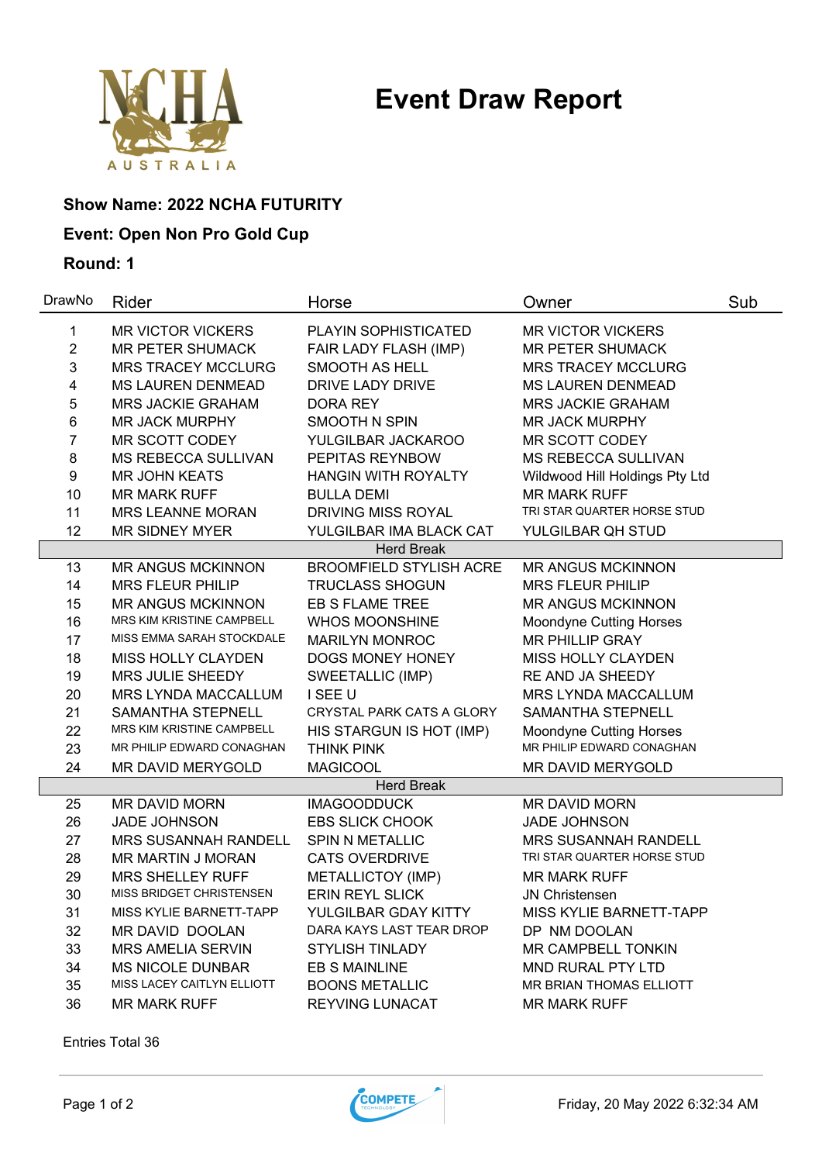

### **Show Name: 2022 NCHA FUTURITY**

### **Event: Open Non Pro Gold Cup**

#### **Round: 1**

| DrawNo           | Rider                            | Horse                          | Owner                          | Sub |
|------------------|----------------------------------|--------------------------------|--------------------------------|-----|
| 1                | <b>MR VICTOR VICKERS</b>         | <b>PLAYIN SOPHISTICATED</b>    | <b>MR VICTOR VICKERS</b>       |     |
| $\overline{c}$   | <b>MR PETER SHUMACK</b>          | FAIR LADY FLASH (IMP)          | MR PETER SHUMACK               |     |
| 3                | <b>MRS TRACEY MCCLURG</b>        | SMOOTH AS HELL                 | <b>MRS TRACEY MCCLURG</b>      |     |
| 4                | MS LAUREN DENMEAD                | DRIVE LADY DRIVE               | MS LAUREN DENMEAD              |     |
| 5                | MRS JACKIE GRAHAM                | DORA REY                       | MRS JACKIE GRAHAM              |     |
| 6                | <b>MR JACK MURPHY</b>            | <b>SMOOTH N SPIN</b>           | <b>MR JACK MURPHY</b>          |     |
| $\overline{7}$   | MR SCOTT CODEY                   | YULGILBAR JACKAROO             | <b>MR SCOTT CODEY</b>          |     |
| 8                | <b>MS REBECCA SULLIVAN</b>       | PEPITAS REYNBOW                | MS REBECCA SULLIVAN            |     |
| $\boldsymbol{9}$ | <b>MR JOHN KEATS</b>             | <b>HANGIN WITH ROYALTY</b>     | Wildwood Hill Holdings Pty Ltd |     |
| 10               | <b>MR MARK RUFF</b>              | <b>BULLA DEMI</b>              | <b>MR MARK RUFF</b>            |     |
| 11               | <b>MRS LEANNE MORAN</b>          | <b>DRIVING MISS ROYAL</b>      | TRI STAR QUARTER HORSE STUD    |     |
| 12               | <b>MR SIDNEY MYER</b>            | YULGILBAR IMA BLACK CAT        | YULGILBAR QH STUD              |     |
|                  |                                  | <b>Herd Break</b>              |                                |     |
| 13               | <b>MR ANGUS MCKINNON</b>         | <b>BROOMFIELD STYLISH ACRE</b> | <b>MR ANGUS MCKINNON</b>       |     |
| 14               | <b>MRS FLEUR PHILIP</b>          | <b>TRUCLASS SHOGUN</b>         | <b>MRS FLEUR PHILIP</b>        |     |
| 15               | <b>MR ANGUS MCKINNON</b>         | EB S FLAME TREE                | <b>MR ANGUS MCKINNON</b>       |     |
| 16               | <b>MRS KIM KRISTINE CAMPBELL</b> | <b>WHOS MOONSHINE</b>          | <b>Moondyne Cutting Horses</b> |     |
| 17               | MISS EMMA SARAH STOCKDALE        | <b>MARILYN MONROC</b>          | MR PHILLIP GRAY                |     |
| 18               | MISS HOLLY CLAYDEN               | DOGS MONEY HONEY               | MISS HOLLY CLAYDEN             |     |
| 19               | <b>MRS JULIE SHEEDY</b>          | SWEETALLIC (IMP)               | RE AND JA SHEEDY               |     |
| 20               | MRS LYNDA MACCALLUM              | I SEE U                        | MRS LYNDA MACCALLUM            |     |
| 21               | SAMANTHA STEPNELL                | CRYSTAL PARK CATS A GLORY      | SAMANTHA STEPNELL              |     |
| 22               | MRS KIM KRISTINE CAMPBELL        | HIS STARGUN IS HOT (IMP)       | <b>Moondyne Cutting Horses</b> |     |
| 23               | MR PHILIP EDWARD CONAGHAN        | THINK PINK                     | MR PHILIP EDWARD CONAGHAN      |     |
| 24               | MR DAVID MERYGOLD                | <b>MAGICOOL</b>                | MR DAVID MERYGOLD              |     |
|                  |                                  | <b>Herd Break</b>              |                                |     |
| 25               | MR DAVID MORN                    | <b>IMAGOODDUCK</b>             | MR DAVID MORN                  |     |
| 26               | <b>JADE JOHNSON</b>              | <b>EBS SLICK CHOOK</b>         | <b>JADE JOHNSON</b>            |     |
| 27               | <b>MRS SUSANNAH RANDELL</b>      | <b>SPIN N METALLIC</b>         | <b>MRS SUSANNAH RANDELL</b>    |     |
| 28               | <b>MR MARTIN J MORAN</b>         | <b>CATS OVERDRIVE</b>          | TRI STAR QUARTER HORSE STUD    |     |
| 29               | <b>MRS SHELLEY RUFF</b>          | METALLICTOY (IMP)              | <b>MR MARK RUFF</b>            |     |
| 30               | MISS BRIDGET CHRISTENSEN         | <b>ERIN REYL SLICK</b>         | <b>JN Christensen</b>          |     |
| 31               | MISS KYLIE BARNETT-TAPP          | YULGILBAR GDAY KITTY           | MISS KYLIE BARNETT-TAPP        |     |
| 32               | MR DAVID DOOLAN                  | DARA KAYS LAST TEAR DROP       | DP NM DOOLAN                   |     |
| 33               | <b>MRS AMELIA SERVIN</b>         | <b>STYLISH TINLADY</b>         | MR CAMPBELL TONKIN             |     |
| 34               | <b>MS NICOLE DUNBAR</b>          | EB S MAINLINE                  | MND RURAL PTY LTD              |     |
| 35               | MISS LACEY CAITLYN ELLIOTT       | <b>BOONS METALLIC</b>          | MR BRIAN THOMAS ELLIOTT        |     |
| 36               | <b>MR MARK RUFF</b>              | <b>REYVING LUNACAT</b>         | <b>MR MARK RUFF</b>            |     |

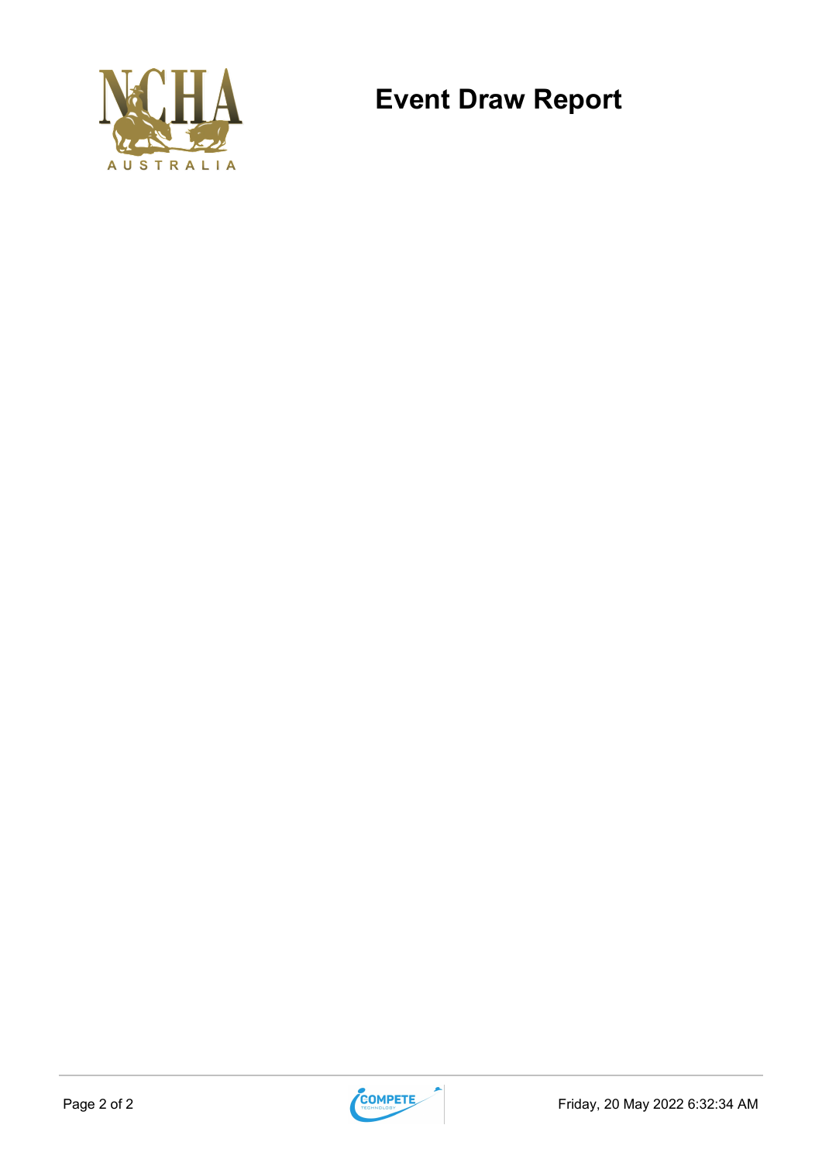

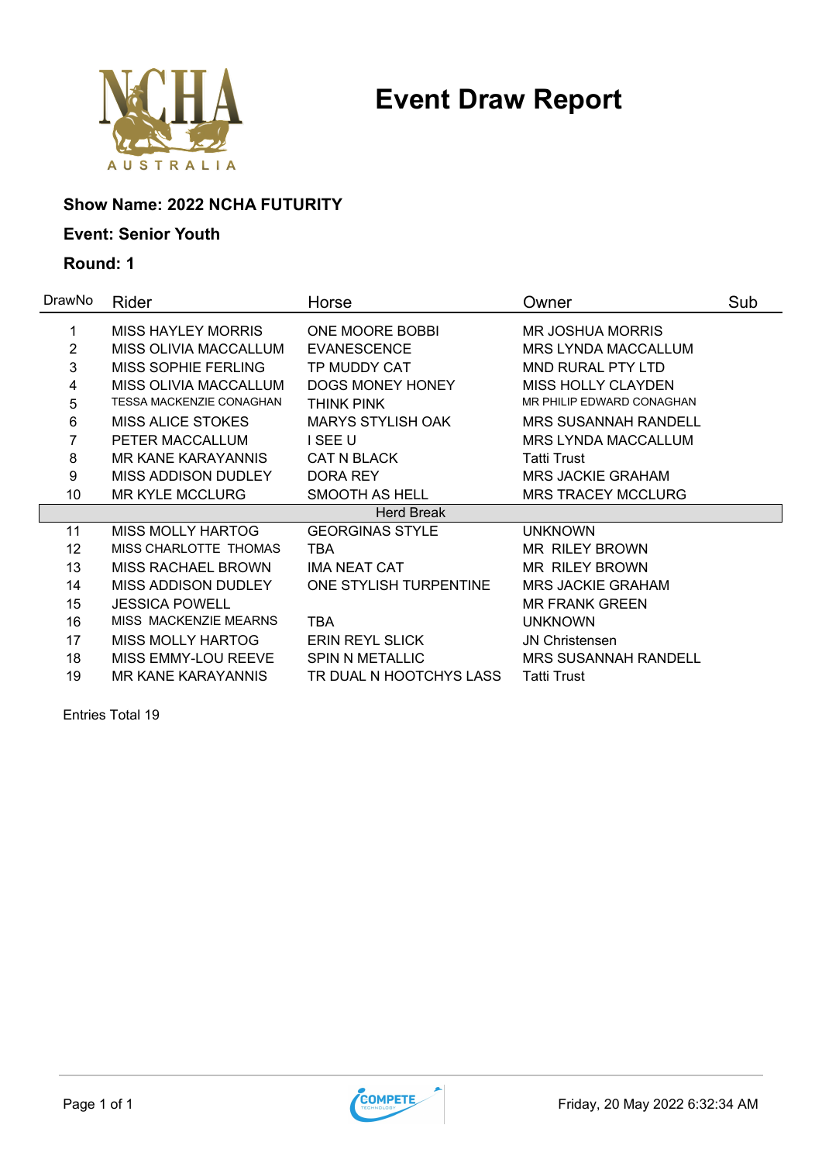

### **Show Name: 2022 NCHA FUTURITY**

### **Event: Senior Youth**

### **Round: 1**

| Rider                           | Horse                    | Owner                       | Sub |
|---------------------------------|--------------------------|-----------------------------|-----|
| <b>MISS HAYLEY MORRIS</b>       | ONE MOORE BOBBI          | <b>MR JOSHUA MORRIS</b>     |     |
| MISS OLIVIA MACCALLUM           | <b>EVANESCENCE</b>       | <b>MRS LYNDA MACCALLUM</b>  |     |
| <b>MISS SOPHIE FERLING</b>      | TP MUDDY CAT             | <b>MND RURAL PTY LTD</b>    |     |
| MISS OLIVIA MACCALLUM           | DOGS MONEY HONEY         | <b>MISS HOLLY CLAYDEN</b>   |     |
| <b>TESSA MACKENZIE CONAGHAN</b> | THINK PINK               | MR PHILIP EDWARD CONAGHAN   |     |
| <b>MISS ALICE STOKES</b>        | <b>MARYS STYLISH OAK</b> | <b>MRS SUSANNAH RANDELL</b> |     |
| PETER MACCALLUM                 | I SEE U                  | <b>MRS LYNDA MACCALLUM</b>  |     |
| <b>MR KANE KARAYANNIS</b>       | <b>CAT N BLACK</b>       | <b>Tatti Trust</b>          |     |
| MISS ADDISON DUDLEY             | DORA REY                 | <b>MRS JACKIE GRAHAM</b>    |     |
| <b>MR KYLE MCCLURG</b>          | SMOOTH AS HELL           | <b>MRS TRACEY MCCLURG</b>   |     |
|                                 | <b>Herd Break</b>        |                             |     |
| <b>MISS MOLLY HARTOG</b>        | <b>GEORGINAS STYLE</b>   | <b>UNKNOWN</b>              |     |
| MISS CHARLOTTE THOMAS           | TBA                      | <b>MR RILEY BROWN</b>       |     |
| <b>MISS RACHAEL BROWN</b>       | <b>IMA NEAT CAT</b>      | <b>MR RILEY BROWN</b>       |     |
| MISS ADDISON DUDLEY             | ONE STYLISH TURPENTINE   | <b>MRS JACKIE GRAHAM</b>    |     |
| <b>JESSICA POWELL</b>           |                          | <b>MR FRANK GREEN</b>       |     |
| MISS MACKENZIE MEARNS           | <b>TBA</b>               | <b>UNKNOWN</b>              |     |
| <b>MISS MOLLY HARTOG</b>        | <b>ERIN REYL SLICK</b>   | <b>JN Christensen</b>       |     |
| MISS EMMY-LOU REEVE             | <b>SPIN N METALLIC</b>   | <b>MRS SUSANNAH RANDELL</b> |     |
| <b>MR KANE KARAYANNIS</b>       | TR DUAL N HOOTCHYS LASS  | <b>Tatti Trust</b>          |     |
|                                 |                          |                             |     |

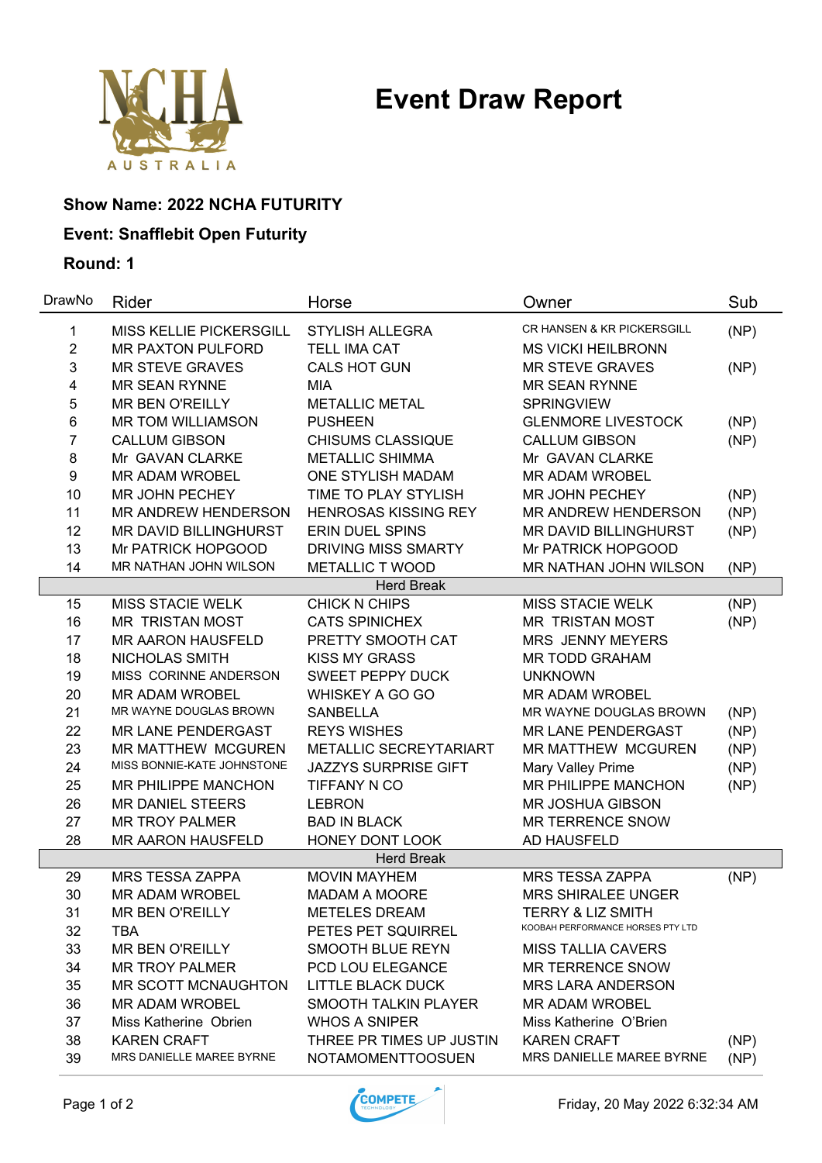

### **Show Name: 2022 NCHA FUTURITY**

### **Event: Snafflebit Open Futurity**

| DrawNo         | Rider                      | Horse                       | Owner                             | Sub  |
|----------------|----------------------------|-----------------------------|-----------------------------------|------|
| 1              | MISS KELLIE PICKERSGILL    | <b>STYLISH ALLEGRA</b>      | CR HANSEN & KR PICKERSGILL        | (NP) |
| $\overline{2}$ | <b>MR PAXTON PULFORD</b>   | <b>TELL IMA CAT</b>         | <b>MS VICKI HEILBRONN</b>         |      |
| 3              | <b>MR STEVE GRAVES</b>     | CALS HOT GUN                | <b>MR STEVE GRAVES</b>            | (NP) |
| 4              | <b>MR SEAN RYNNE</b>       | <b>MIA</b>                  | <b>MR SEAN RYNNE</b>              |      |
| 5              | <b>MR BEN O'REILLY</b>     | <b>METALLIC METAL</b>       | <b>SPRINGVIEW</b>                 |      |
| 6              | <b>MR TOM WILLIAMSON</b>   | <b>PUSHEEN</b>              | <b>GLENMORE LIVESTOCK</b>         | (NP) |
| 7              | <b>CALLUM GIBSON</b>       | <b>CHISUMS CLASSIQUE</b>    | <b>CALLUM GIBSON</b>              | (NP) |
| 8              | Mr GAVAN CLARKE            | <b>METALLIC SHIMMA</b>      | Mr GAVAN CLARKE                   |      |
| 9              | <b>MR ADAM WROBEL</b>      | <b>ONE STYLISH MADAM</b>    | <b>MR ADAM WROBEL</b>             |      |
| 10             | <b>MR JOHN PECHEY</b>      | TIME TO PLAY STYLISH        | <b>MR JOHN PECHEY</b>             | (NP) |
| 11             | MR ANDREW HENDERSON        | <b>HENROSAS KISSING REY</b> | MR ANDREW HENDERSON               | (NP) |
| 12             | MR DAVID BILLINGHURST      | <b>ERIN DUEL SPINS</b>      | MR DAVID BILLINGHURST             | (NP) |
| 13             | Mr PATRICK HOPGOOD         | <b>DRIVING MISS SMARTY</b>  | Mr PATRICK HOPGOOD                |      |
| 14             | MR NATHAN JOHN WILSON      | <b>METALLIC T WOOD</b>      | <b>MR NATHAN JOHN WILSON</b>      | (NP) |
|                |                            | <b>Herd Break</b>           |                                   |      |
| 15             | <b>MISS STACIE WELK</b>    | <b>CHICK N CHIPS</b>        | <b>MISS STACIE WELK</b>           | (NP) |
| 16             | <b>MR TRISTAN MOST</b>     | <b>CATS SPINICHEX</b>       | <b>MR TRISTAN MOST</b>            | (NP) |
| 17             | <b>MR AARON HAUSFELD</b>   | PRETTY SMOOTH CAT           | <b>MRS JENNY MEYERS</b>           |      |
| 18             | NICHOLAS SMITH             | <b>KISS MY GRASS</b>        | <b>MR TODD GRAHAM</b>             |      |
| 19             | MISS CORINNE ANDERSON      | <b>SWEET PEPPY DUCK</b>     | <b>UNKNOWN</b>                    |      |
| 20             | <b>MR ADAM WROBEL</b>      | WHISKEY A GO GO             | <b>MR ADAM WROBEL</b>             |      |
| 21             | MR WAYNE DOUGLAS BROWN     | <b>SANBELLA</b>             | MR WAYNE DOUGLAS BROWN            | (NP) |
| 22             | <b>MR LANE PENDERGAST</b>  | <b>REYS WISHES</b>          | <b>MR LANE PENDERGAST</b>         | (NP) |
| 23             | <b>MR MATTHEW MCGUREN</b>  | METALLIC SECREYTARIART      | <b>MR MATTHEW MCGUREN</b>         | (NP) |
| 24             | MISS BONNIE-KATE JOHNSTONE | <b>JAZZYS SURPRISE GIFT</b> | Mary Valley Prime                 | (NP) |
| 25             | MR PHILIPPE MANCHON        | TIFFANY N CO                | <b>MR PHILIPPE MANCHON</b>        | (NP) |
| 26             | <b>MR DANIEL STEERS</b>    | <b>LEBRON</b>               | <b>MR JOSHUA GIBSON</b>           |      |
| 27             | <b>MR TROY PALMER</b>      | <b>BAD IN BLACK</b>         | <b>MR TERRENCE SNOW</b>           |      |
| 28             | <b>MR AARON HAUSFELD</b>   | HONEY DONT LOOK             | AD HAUSFELD                       |      |
|                |                            | <b>Herd Break</b>           |                                   |      |
| 29             | <b>MRS TESSA ZAPPA</b>     | <b>MOVIN MAYHEM</b>         | <b>MRS TESSA ZAPPA</b>            | (NP) |
| 30             | <b>MR ADAM WROBEL</b>      | <b>MADAM A MOORE</b>        | <b>MRS SHIRALEE UNGER</b>         |      |
| 31             | MR BEN O'REILLY            | <b>METELES DREAM</b>        | <b>TERRY &amp; LIZ SMITH</b>      |      |
| 32             | <b>TBA</b>                 | PETES PET SQUIRREL          | KOOBAH PERFORMANCE HORSES PTY LTD |      |
| 33             | <b>MR BEN O'REILLY</b>     | SMOOTH BLUE REYN            | <b>MISS TALLIA CAVERS</b>         |      |
| 34             | <b>MR TROY PALMER</b>      | PCD LOU ELEGANCE            | <b>MR TERRENCE SNOW</b>           |      |
| 35             | MR SCOTT MCNAUGHTON        | <b>LITTLE BLACK DUCK</b>    | <b>MRS LARA ANDERSON</b>          |      |
| 36             | <b>MR ADAM WROBEL</b>      | <b>SMOOTH TALKIN PLAYER</b> | <b>MR ADAM WROBEL</b>             |      |
| 37             | Miss Katherine Obrien      | <b>WHOS A SNIPER</b>        | Miss Katherine O'Brien            |      |
| 38             | <b>KAREN CRAFT</b>         | THREE PR TIMES UP JUSTIN    | <b>KAREN CRAFT</b>                | (NP) |
| 39             | MRS DANIELLE MAREE BYRNE   | <b>NOTAMOMENTTOOSUEN</b>    | MRS DANIELLE MAREE BYRNE          | (NP) |